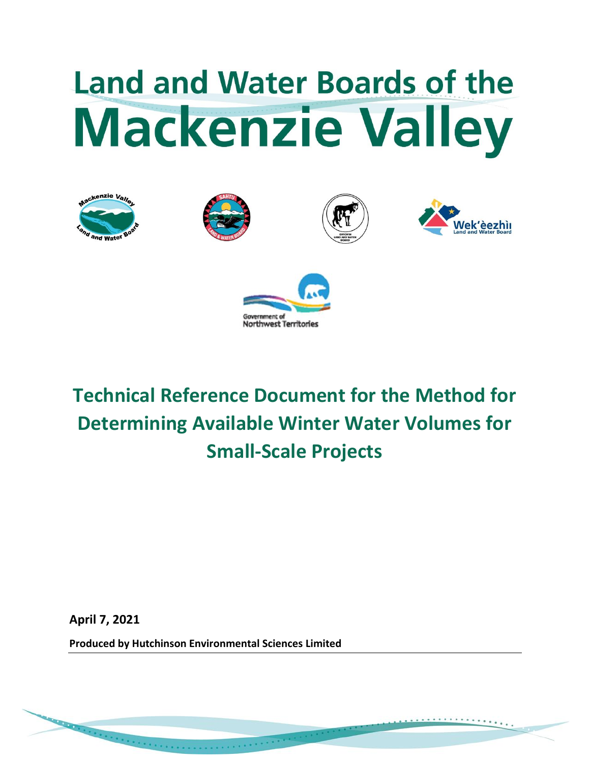# **Land and Water Boards of the Mackenzie Valley**











**Technical Reference Document for the Method for Determining Available Winter Water Volumes for Small-Scale Projects**

**April 7, 2021**

**Produced by Hutchinson Environmental Sciences Limited**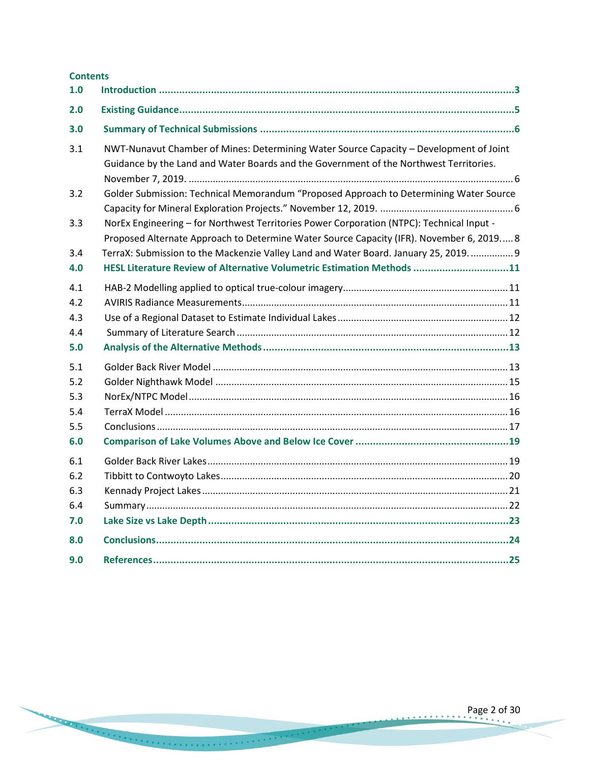| <b>Contents</b><br>1.0 |                                                                                                                                                                                  |
|------------------------|----------------------------------------------------------------------------------------------------------------------------------------------------------------------------------|
| 2.0                    |                                                                                                                                                                                  |
|                        |                                                                                                                                                                                  |
| 3.0                    |                                                                                                                                                                                  |
| 3.1                    | NWT-Nunavut Chamber of Mines: Determining Water Source Capacity - Development of Joint<br>Guidance by the Land and Water Boards and the Government of the Northwest Territories. |
| 3.2                    | Golder Submission: Technical Memorandum "Proposed Approach to Determining Water Source                                                                                           |
| 3.3                    | NorEx Engineering - for Northwest Territories Power Corporation (NTPC): Technical Input -                                                                                        |
|                        | Proposed Alternate Approach to Determine Water Source Capacity (IFR). November 6, 2019 8                                                                                         |
| 3.4                    | TerraX: Submission to the Mackenzie Valley Land and Water Board. January 25, 2019 9                                                                                              |
| 4.0                    | HESL Literature Review of Alternative Volumetric Estimation Methods 11                                                                                                           |
| 4.1                    |                                                                                                                                                                                  |
| 4.2                    |                                                                                                                                                                                  |
| 4.3                    |                                                                                                                                                                                  |
| 4.4                    |                                                                                                                                                                                  |
| 5.0                    |                                                                                                                                                                                  |
| 5.1                    |                                                                                                                                                                                  |
| 5.2                    |                                                                                                                                                                                  |
| 5.3                    |                                                                                                                                                                                  |
| 5.4                    |                                                                                                                                                                                  |
| 5.5                    |                                                                                                                                                                                  |
| 6.0                    |                                                                                                                                                                                  |
| 6.1                    |                                                                                                                                                                                  |
| 6.2                    |                                                                                                                                                                                  |
| 6.3                    |                                                                                                                                                                                  |
| 6.4                    |                                                                                                                                                                                  |
| 7.0                    |                                                                                                                                                                                  |
| 8.0                    |                                                                                                                                                                                  |
| 9.0                    |                                                                                                                                                                                  |

×.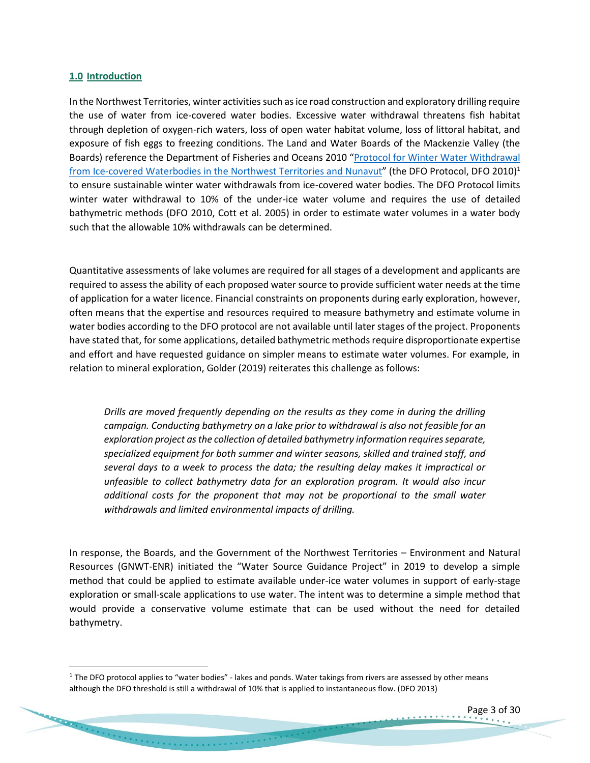#### <span id="page-2-0"></span>**1.0 Introduction**

In the Northwest Territories, winter activities such as ice road construction and exploratory drilling require the use of water from ice-covered water bodies. Excessive water withdrawal threatens fish habitat through depletion of oxygen-rich waters, loss of open water habitat volume, loss of littoral habitat, and exposure of fish eggs to freezing conditions. The Land and Water Boards of the Mackenzie Valley (the Boards) reference the Department of Fisheries and Oceans 2010 "Protocol for Winter Water Withdrawal [from Ice-covered Waterbodies in the Northwest Territories and Nunavut](http://registry.mvlwb.ca/Documents/W2010C0005/W2010C0005%20-%20Land%20Use%20Permit%20Application%20-%20DFO%20Water%20Withdrawal%20Protocol%20-%20Aug%2025_10.pdf)" (the DFO Protocol, DFO 2010)<sup>1</sup> to ensure sustainable winter water withdrawals from ice-covered water bodies. The DFO Protocol limits winter water withdrawal to 10% of the under-ice water volume and requires the use of detailed bathymetric methods (DFO 2010, Cott et al. 2005) in order to estimate water volumes in a water body such that the allowable 10% withdrawals can be determined.

Quantitative assessments of lake volumes are required for all stages of a development and applicants are required to assess the ability of each proposed water source to provide sufficient water needs at the time of application for a water licence. Financial constraints on proponents during early exploration, however, often means that the expertise and resources required to measure bathymetry and estimate volume in water bodies according to the DFO protocol are not available until later stages of the project. Proponents have stated that, for some applications, detailed bathymetric methods require disproportionate expertise and effort and have requested guidance on simpler means to estimate water volumes. For example, in relation to mineral exploration, Golder (2019) reiterates this challenge as follows:

*Drills are moved frequently depending on the results as they come in during the drilling campaign. Conducting bathymetry on a lake prior to withdrawal is also not feasible for an exploration project as the collection of detailed bathymetry information requires separate, specialized equipment for both summer and winter seasons, skilled and trained staff, and several days to a week to process the data; the resulting delay makes it impractical or unfeasible to collect bathymetry data for an exploration program. It would also incur additional costs for the proponent that may not be proportional to the small water withdrawals and limited environmental impacts of drilling.* 

In response, the Boards, and the Government of the Northwest Territories – Environment and Natural Resources (GNWT-ENR) initiated the "Water Source Guidance Project" in 2019 to develop a simple method that could be applied to estimate available under-ice water volumes in support of early-stage exploration or small-scale applications to use water. The intent was to determine a simple method that would provide a conservative volume estimate that can be used without the need for detailed bathymetry.

 $^1$  The DFO protocol applies to "water bodies" - lakes and ponds. Water takings from rivers are assessed by other means although the DFO threshold is still a withdrawal of 10% that is applied to instantaneous flow. (DFO 2013)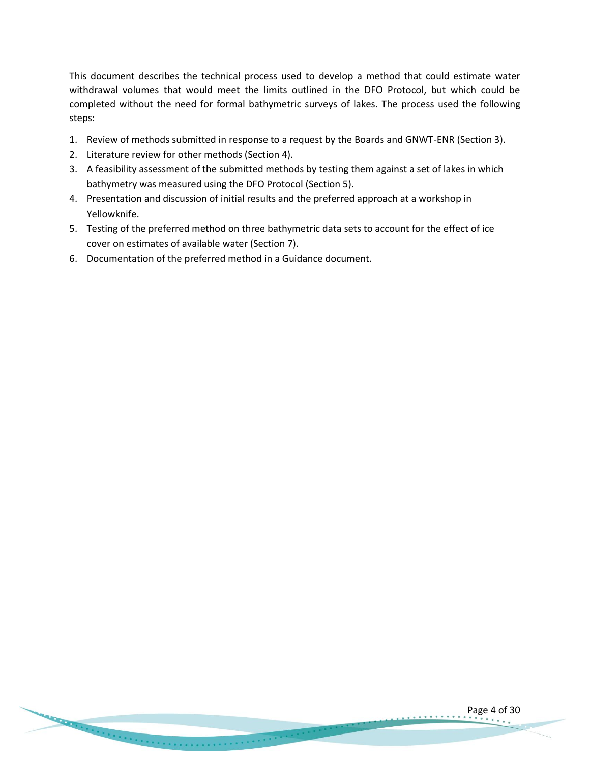This document describes the technical process used to develop a method that could estimate water withdrawal volumes that would meet the limits outlined in the DFO Protocol, but which could be completed without the need for formal bathymetric surveys of lakes. The process used the following steps:

- 1. Review of methods submitted in response to a request by the Boards and GNWT-ENR (Section 3).
- 2. Literature review for other methods (Section 4).
- 3. A feasibility assessment of the submitted methods by testing them against a set of lakes in which bathymetry was measured using the DFO Protocol (Section 5).
- 4. Presentation and discussion of initial results and the preferred approach at a workshop in Yellowknife.
- 5. Testing of the preferred method on three bathymetric data sets to account for the effect of ice cover on estimates of available water (Section 7).
- 6. Documentation of the preferred method in a Guidance document.

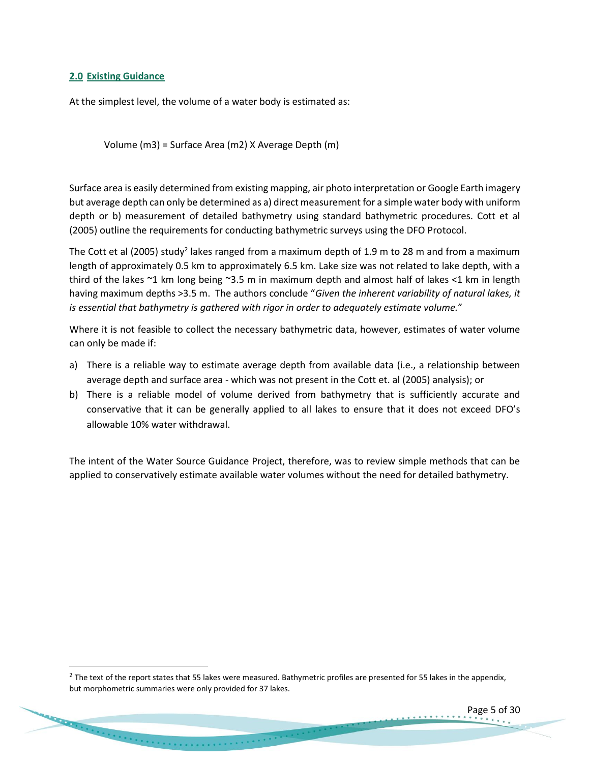# <span id="page-4-0"></span>**2.0 Existing Guidance**

At the simplest level, the volume of a water body is estimated as:

Volume (m3) = Surface Area (m2) X Average Depth (m)

Surface area is easily determined from existing mapping, air photo interpretation or Google Earth imagery but average depth can only be determined as a) direct measurement for a simple water body with uniform depth or b) measurement of detailed bathymetry using standard bathymetric procedures. Cott et al (2005) outline the requirements for conducting bathymetric surveys using the DFO Protocol.

The Cott et al (2005) study<sup>2</sup> lakes ranged from a maximum depth of 1.9 m to 28 m and from a maximum length of approximately 0.5 km to approximately 6.5 km. Lake size was not related to lake depth, with a third of the lakes ~1 km long being ~3.5 m in maximum depth and almost half of lakes <1 km in length having maximum depths >3.5 m. The authors conclude "*Given the inherent variability of natural lakes, it is essential that bathymetry is gathered with rigor in order to adequately estimate volume.*"

Where it is not feasible to collect the necessary bathymetric data, however, estimates of water volume can only be made if:

- a) There is a reliable way to estimate average depth from available data (i.e., a relationship between average depth and surface area - which was not present in the Cott et. al (2005) analysis); or
- b) There is a reliable model of volume derived from bathymetry that is sufficiently accurate and conservative that it can be generally applied to all lakes to ensure that it does not exceed DFO's allowable 10% water withdrawal.

The intent of the Water Source Guidance Project, therefore, was to review simple methods that can be applied to conservatively estimate available water volumes without the need for detailed bathymetry.

<u>and the community of the community of the community of the community of the community of the community of the community of the community of the community of the community of the community of the community of the community</u>

Page 5 of 30

 $^2$  The text of the report states that 55 lakes were measured. Bathymetric profiles are presented for 55 lakes in the appendix, but morphometric summaries were only provided for 37 lakes.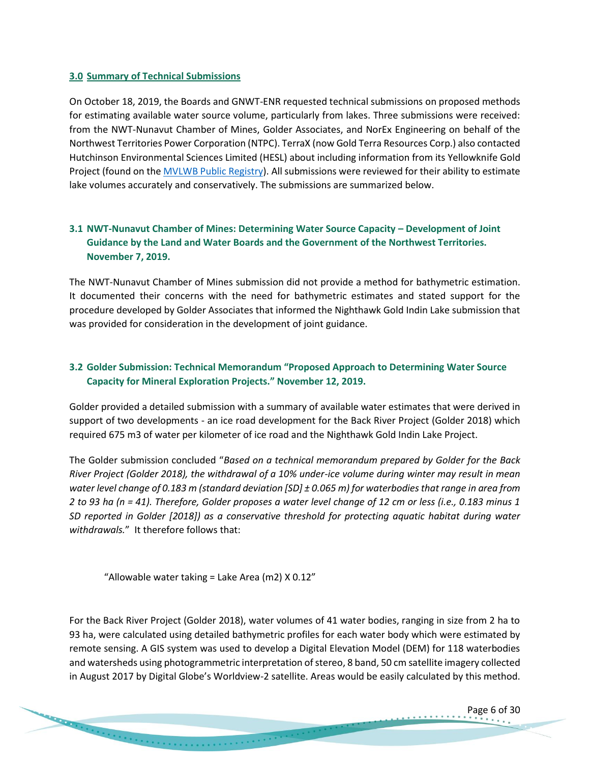## <span id="page-5-0"></span>**3.0 Summary of Technical Submissions**

On October 18, 2019, the Boards and GNWT-ENR requested technical submissions on proposed methods for estimating available water source volume, particularly from lakes. Three submissions were received: from the NWT-Nunavut Chamber of Mines, Golder Associates, and NorEx Engineering on behalf of the Northwest Territories Power Corporation (NTPC). TerraX (now Gold Terra Resources Corp.) also contacted Hutchinson Environmental Sciences Limited (HESL) about including information from its Yellowknife Gold Project (found on th[e MVLWB Public Registry\)](https://mvlwb.com/registry). All submissions were reviewed for their ability to estimate lake volumes accurately and conservatively. The submissions are summarized below.

# <span id="page-5-1"></span>**3.1 NWT-Nunavut Chamber of Mines: Determining Water Source Capacity – Development of Joint Guidance by the Land and Water Boards and the Government of the Northwest Territories. November 7, 2019.**

The NWT-Nunavut Chamber of Mines submission did not provide a method for bathymetric estimation. It documented their concerns with the need for bathymetric estimates and stated support for the procedure developed by Golder Associates that informed the Nighthawk Gold Indin Lake submission that was provided for consideration in the development of joint guidance.

# <span id="page-5-2"></span>**3.2 Golder Submission: Technical Memorandum "Proposed Approach to Determining Water Source Capacity for Mineral Exploration Projects." November 12, 2019.**

Golder provided a detailed submission with a summary of available water estimates that were derived in support of two developments - an ice road development for the Back River Project (Golder 2018) which required 675 m3 of water per kilometer of ice road and the Nighthawk Gold Indin Lake Project.

The Golder submission concluded "*Based on a technical memorandum prepared by Golder for the Back River Project (Golder 2018), the withdrawal of a 10% under-ice volume during winter may result in mean water level change of 0.183 m (standard deviation [SD] ± 0.065 m) for waterbodies that range in area from 2 to 93 ha (n = 41). Therefore, Golder proposes a water level change of 12 cm or less (i.e., 0.183 minus 1 SD reported in Golder [2018]) as a conservative threshold for protecting aquatic habitat during water withdrawals.*" It therefore follows that:

"Allowable water taking = Lake Area (m2) X 0.12"

For the Back River Project (Golder 2018), water volumes of 41 water bodies, ranging in size from 2 ha to 93 ha, were calculated using detailed bathymetric profiles for each water body which were estimated by remote sensing. A GIS system was used to develop a Digital Elevation Model (DEM) for 118 waterbodies and watersheds using photogrammetric interpretation of stereo, 8 band, 50 cm satellite imagery collected in August 2017 by Digital Globe's Worldview-2 satellite. Areas would be easily calculated by this method.

Page 6 of 30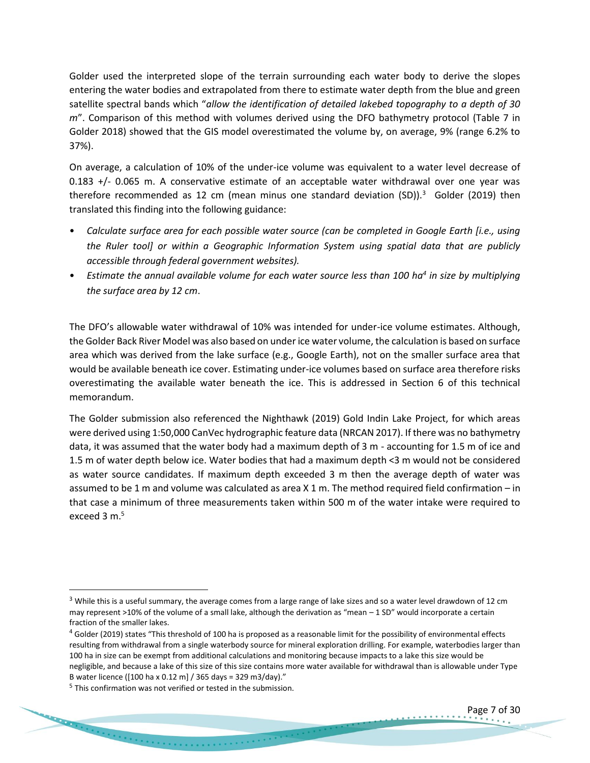Golder used the interpreted slope of the terrain surrounding each water body to derive the slopes entering the water bodies and extrapolated from there to estimate water depth from the blue and green satellite spectral bands which "*allow the identification of detailed lakebed topography to a depth of 30 m*". Comparison of this method with volumes derived using the DFO bathymetry protocol (Table 7 in Golder 2018) showed that the GIS model overestimated the volume by, on average, 9% (range 6.2% to 37%).

On average, a calculation of 10% of the under-ice volume was equivalent to a water level decrease of 0.183 +/- 0.065 m. A conservative estimate of an acceptable water withdrawal over one year was therefore recommended as 12 cm (mean minus one standard deviation (SD)).<sup>3</sup> Golder (2019) then translated this finding into the following guidance:

- *Calculate surface area for each possible water source (can be completed in Google Earth [i.e., using the Ruler tool] or within a Geographic Information System using spatial data that are publicly accessible through federal government websites).*
- *Estimate the annual available volume for each water source less than 100 ha<sup>4</sup> in size by multiplying the surface area by 12 cm*.

The DFO's allowable water withdrawal of 10% was intended for under-ice volume estimates. Although, the Golder Back River Model was also based on under ice water volume, the calculation is based on surface area which was derived from the lake surface (e.g., Google Earth), not on the smaller surface area that would be available beneath ice cover. Estimating under-ice volumes based on surface area therefore risks overestimating the available water beneath the ice. This is addressed in Section 6 of this technical memorandum.

The Golder submission also referenced the Nighthawk (2019) Gold Indin Lake Project, for which areas were derived using 1:50,000 CanVec hydrographic feature data (NRCAN 2017). If there was no bathymetry data, it was assumed that the water body had a maximum depth of 3 m - accounting for 1.5 m of ice and 1.5 m of water depth below ice. Water bodies that had a maximum depth <3 m would not be considered as water source candidates. If maximum depth exceeded 3 m then the average depth of water was assumed to be 1 m and volume was calculated as area X 1 m. The method required field confirmation – in that case a minimum of three measurements taken within 500 m of the water intake were required to exceed 3  $m<sup>5</sup>$ 

 $3$  While this is a useful summary, the average comes from a large range of lake sizes and so a water level drawdown of 12 cm may represent >10% of the volume of a small lake, although the derivation as "mean – 1 SD" would incorporate a certain fraction of the smaller lakes.

<sup>&</sup>lt;sup>4</sup> Golder (2019) states "This threshold of 100 ha is proposed as a reasonable limit for the possibility of environmental effects resulting from withdrawal from a single waterbody source for mineral exploration drilling. For example, waterbodies larger than 100 ha in size can be exempt from additional calculations and monitoring because impacts to a lake this size would be negligible, and because a lake of this size of this size contains more water available for withdrawal than is allowable under Type B water licence ([100 ha x 0.12 m] / 365 days = 329 m3/day)."

<sup>&</sup>lt;sup>5</sup> This confirmation was not verified or tested in the submission.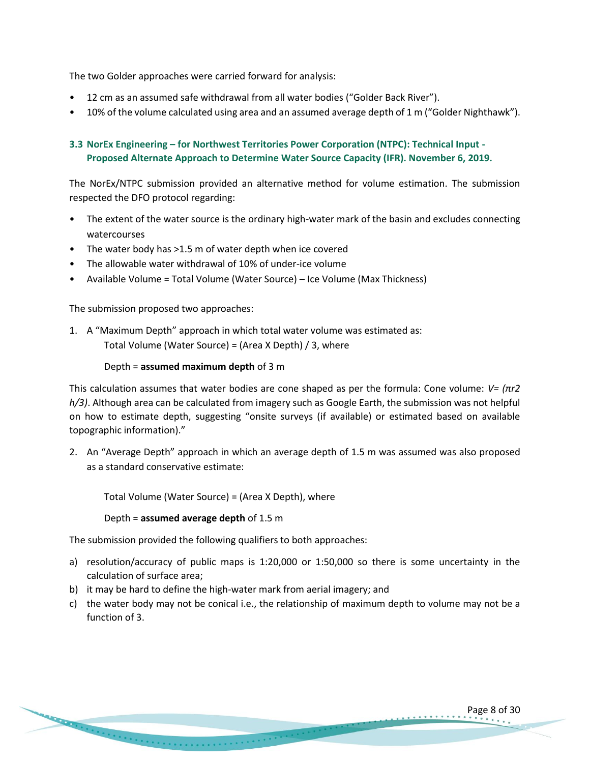The two Golder approaches were carried forward for analysis:

- 12 cm as an assumed safe withdrawal from all water bodies ("Golder Back River").
- 10% of the volume calculated using area and an assumed average depth of 1 m ("Golder Nighthawk").

# <span id="page-7-0"></span>**3.3 NorEx Engineering – for Northwest Territories Power Corporation (NTPC): Technical Input - Proposed Alternate Approach to Determine Water Source Capacity (IFR). November 6, 2019.**

The NorEx/NTPC submission provided an alternative method for volume estimation. The submission respected the DFO protocol regarding:

- The extent of the water source is the ordinary high-water mark of the basin and excludes connecting watercourses
- The water body has >1.5 m of water depth when ice covered
- The allowable water withdrawal of 10% of under-ice volume
- Available Volume = Total Volume (Water Source) Ice Volume (Max Thickness)

The submission proposed two approaches:

1. A "Maximum Depth" approach in which total water volume was estimated as: Total Volume (Water Source) = (Area X Depth) / 3, where

# Depth = **assumed maximum depth** of 3 m

This calculation assumes that water bodies are cone shaped as per the formula: Cone volume: *V= (πr2 h/3)*. Although area can be calculated from imagery such as Google Earth, the submission was not helpful on how to estimate depth, suggesting "onsite surveys (if available) or estimated based on available topographic information)."

2. An "Average Depth" approach in which an average depth of 1.5 m was assumed was also proposed as a standard conservative estimate:

Total Volume (Water Source) = (Area X Depth), where

Depth = **assumed average depth** of 1.5 m

The submission provided the following qualifiers to both approaches:

- a) resolution/accuracy of public maps is 1:20,000 or 1:50,000 so there is some uncertainty in the calculation of surface area;
- b) it may be hard to define the high-water mark from aerial imagery; and
- c) the water body may not be conical i.e., the relationship of maximum depth to volume may not be a function of 3.

Page 8 of 30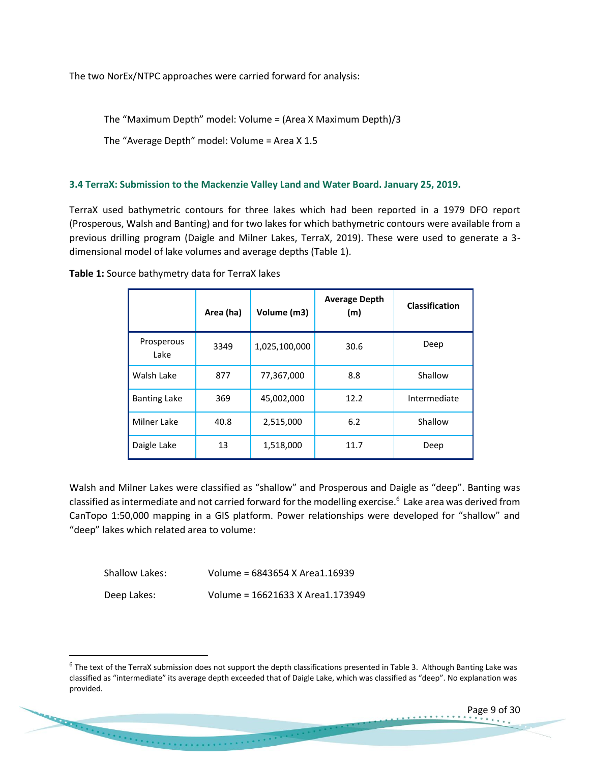The two NorEx/NTPC approaches were carried forward for analysis:

The "Maximum Depth" model: Volume = (Area X Maximum Depth)/3

The "Average Depth" model: Volume = Area X 1.5

# <span id="page-8-0"></span>**3.4 TerraX: Submission to the Mackenzie Valley Land and Water Board. January 25, 2019.**

TerraX used bathymetric contours for three lakes which had been reported in a 1979 DFO report (Prosperous, Walsh and Banting) and for two lakes for which bathymetric contours were available from a previous drilling program (Daigle and Milner Lakes, TerraX, 2019). These were used to generate a 3 dimensional model of lake volumes and average depths (Table 1).

|                     | Area (ha) | Volume (m3)   | <b>Average Depth</b><br>(m) | Classification |
|---------------------|-----------|---------------|-----------------------------|----------------|
| Prosperous<br>Lake  | 3349      | 1,025,100,000 | 30.6                        | Deep           |
| Walsh Lake          | 877       | 77,367,000    | 8.8                         | Shallow        |
| <b>Banting Lake</b> | 369       | 45,002,000    | 12.2                        | Intermediate   |
| Milner Lake         | 40.8      | 2,515,000     | 6.2                         | Shallow        |
| Daigle Lake         | 13        | 1,518,000     | 11.7                        | Deep           |

**Table 1:** Source bathymetry data for TerraX lakes

Walsh and Milner Lakes were classified as "shallow" and Prosperous and Daigle as "deep". Banting was classified as intermediate and not carried forward for the modelling exercise.<sup>6</sup> Lake area was derived from CanTopo 1:50,000 mapping in a GIS platform. Power relationships were developed for "shallow" and "deep" lakes which related area to volume:

| Shallow Lakes: | Volume = 6843654 X Area1.16939   |
|----------------|----------------------------------|
| Deep Lakes:    | Volume = 16621633 X Area1.173949 |

**CONTRACTOR** CONTRACTOR CONTRACTOR

Page 9 of 30

<sup>&</sup>lt;sup>6</sup> The text of the TerraX submission does not support the depth classifications presented in Table 3. Although Banting Lake was classified as "intermediate" its average depth exceeded that of Daigle Lake, which was classified as "deep". No explanation was provided.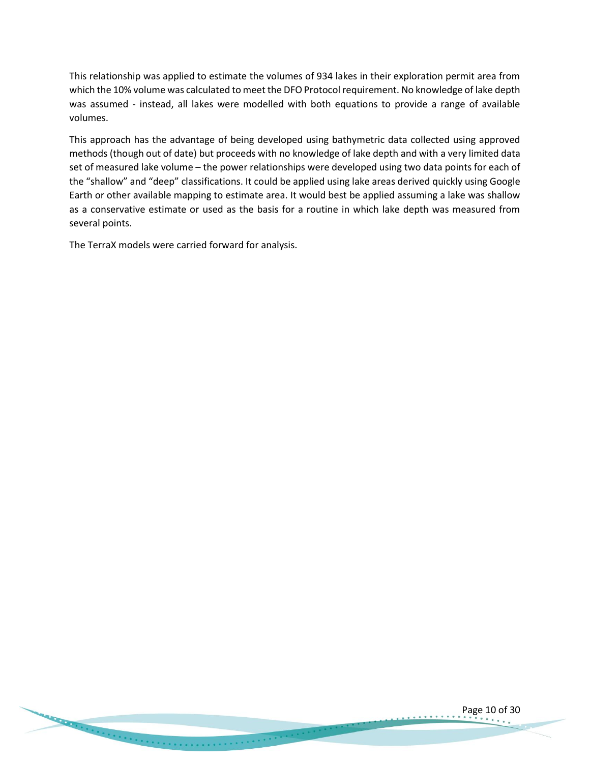This relationship was applied to estimate the volumes of 934 lakes in their exploration permit area from which the 10% volume was calculated to meet the DFO Protocol requirement. No knowledge of lake depth was assumed - instead, all lakes were modelled with both equations to provide a range of available volumes.

This approach has the advantage of being developed using bathymetric data collected using approved methods (though out of date) but proceeds with no knowledge of lake depth and with a very limited data set of measured lake volume – the power relationships were developed using two data points for each of the "shallow" and "deep" classifications. It could be applied using lake areas derived quickly using Google Earth or other available mapping to estimate area. It would best be applied assuming a lake was shallow as a conservative estimate or used as the basis for a routine in which lake depth was measured from several points.

The TerraX models were carried forward for analysis.

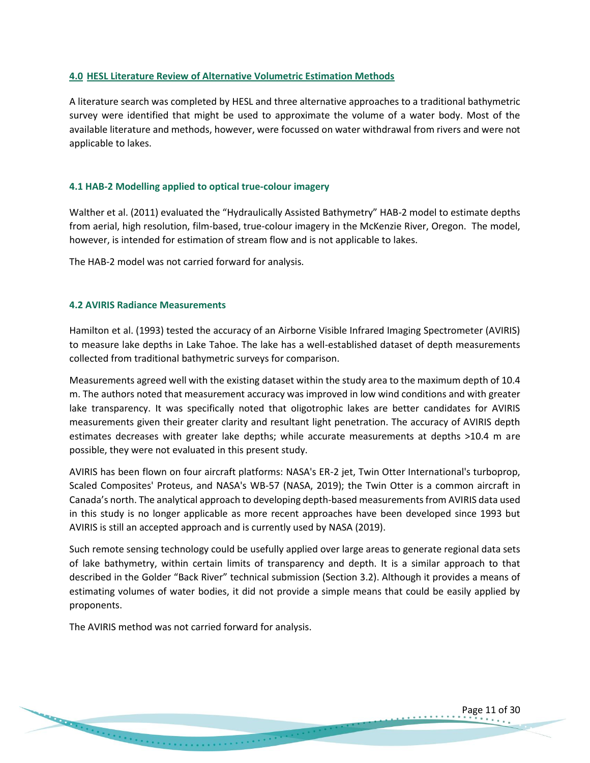## <span id="page-10-0"></span>**4.0 HESL Literature Review of Alternative Volumetric Estimation Methods**

A literature search was completed by HESL and three alternative approaches to a traditional bathymetric survey were identified that might be used to approximate the volume of a water body. Most of the available literature and methods, however, were focussed on water withdrawal from rivers and were not applicable to lakes.

#### <span id="page-10-1"></span>**4.1 HAB-2 Modelling applied to optical true-colour imagery**

Walther et al. (2011) evaluated the "Hydraulically Assisted Bathymetry" HAB-2 model to estimate depths from aerial, high resolution, film-based, true-colour imagery in the McKenzie River, Oregon. The model, however, is intended for estimation of stream flow and is not applicable to lakes.

The HAB-2 model was not carried forward for analysis.

## <span id="page-10-2"></span>**4.2 AVIRIS Radiance Measurements**

Hamilton et al. (1993) tested the accuracy of an Airborne Visible Infrared Imaging Spectrometer (AVIRIS) to measure lake depths in Lake Tahoe. The lake has a well-established dataset of depth measurements collected from traditional bathymetric surveys for comparison.

Measurements agreed well with the existing dataset within the study area to the maximum depth of 10.4 m. The authors noted that measurement accuracy was improved in low wind conditions and with greater lake transparency. It was specifically noted that oligotrophic lakes are better candidates for AVIRIS measurements given their greater clarity and resultant light penetration. The accuracy of AVIRIS depth estimates decreases with greater lake depths; while accurate measurements at depths >10.4 m are possible, they were not evaluated in this present study.

AVIRIS has been flown on four aircraft platforms: NASA's ER-2 jet, Twin Otter International's turboprop, Scaled Composites' Proteus, and NASA's WB-57 (NASA, 2019); the Twin Otter is a common aircraft in Canada's north. The analytical approach to developing depth-based measurements from AVIRIS data used in this study is no longer applicable as more recent approaches have been developed since 1993 but AVIRIS is still an accepted approach and is currently used by NASA (2019).

Such remote sensing technology could be usefully applied over large areas to generate regional data sets of lake bathymetry, within certain limits of transparency and depth. It is a similar approach to that described in the Golder "Back River" technical submission (Section 3.2). Although it provides a means of estimating volumes of water bodies, it did not provide a simple means that could be easily applied by proponents.

The AVIRIS method was not carried forward for analysis.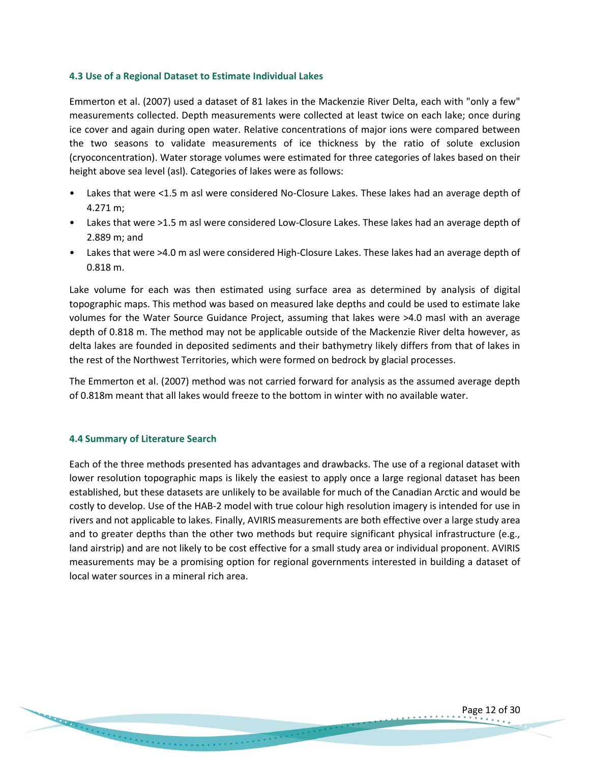## <span id="page-11-0"></span>**4.3 Use of a Regional Dataset to Estimate Individual Lakes**

Emmerton et al. (2007) used a dataset of 81 lakes in the Mackenzie River Delta, each with "only a few" measurements collected. Depth measurements were collected at least twice on each lake; once during ice cover and again during open water. Relative concentrations of major ions were compared between the two seasons to validate measurements of ice thickness by the ratio of solute exclusion (cryoconcentration). Water storage volumes were estimated for three categories of lakes based on their height above sea level (asl). Categories of lakes were as follows:

- Lakes that were <1.5 m asl were considered No-Closure Lakes. These lakes had an average depth of 4.271 m;
- Lakes that were >1.5 m asl were considered Low-Closure Lakes. These lakes had an average depth of 2.889 m; and
- Lakes that were >4.0 m asl were considered High-Closure Lakes. These lakes had an average depth of 0.818 m.

Lake volume for each was then estimated using surface area as determined by analysis of digital topographic maps. This method was based on measured lake depths and could be used to estimate lake volumes for the Water Source Guidance Project, assuming that lakes were >4.0 masl with an average depth of 0.818 m. The method may not be applicable outside of the Mackenzie River delta however, as delta lakes are founded in deposited sediments and their bathymetry likely differs from that of lakes in the rest of the Northwest Territories, which were formed on bedrock by glacial processes.

The Emmerton et al. (2007) method was not carried forward for analysis as the assumed average depth of 0.818m meant that all lakes would freeze to the bottom in winter with no available water.

#### <span id="page-11-1"></span>**4.4 Summary of Literature Search**

Each of the three methods presented has advantages and drawbacks. The use of a regional dataset with lower resolution topographic maps is likely the easiest to apply once a large regional dataset has been established, but these datasets are unlikely to be available for much of the Canadian Arctic and would be costly to develop. Use of the HAB-2 model with true colour high resolution imagery is intended for use in rivers and not applicable to lakes. Finally, AVIRIS measurements are both effective over a large study area and to greater depths than the other two methods but require significant physical infrastructure (e.g., land airstrip) and are not likely to be cost effective for a small study area or individual proponent. AVIRIS measurements may be a promising option for regional governments interested in building a dataset of local water sources in a mineral rich area.

Page 12 of 30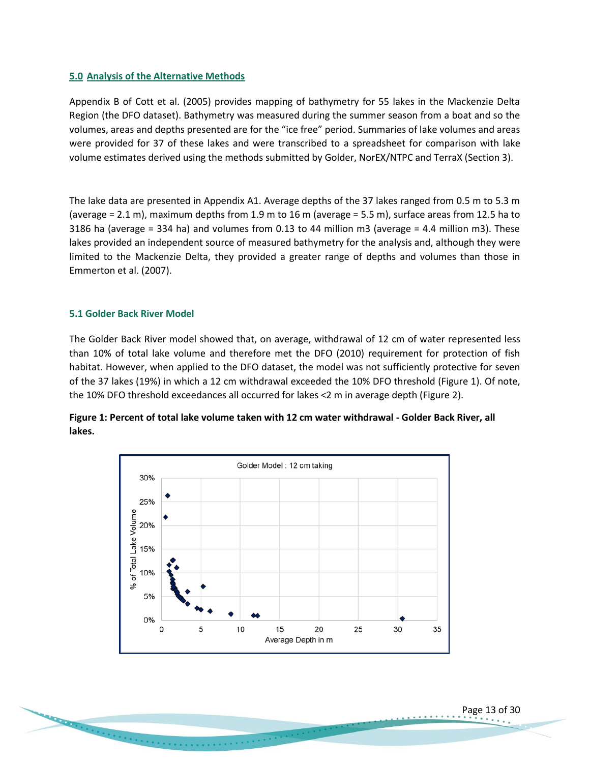## <span id="page-12-0"></span>**5.0 Analysis of the Alternative Methods**

Appendix B of Cott et al. (2005) provides mapping of bathymetry for 55 lakes in the Mackenzie Delta Region (the DFO dataset). Bathymetry was measured during the summer season from a boat and so the volumes, areas and depths presented are for the "ice free" period. Summaries of lake volumes and areas were provided for 37 of these lakes and were transcribed to a spreadsheet for comparison with lake volume estimates derived using the methods submitted by Golder, NorEX/NTPC and TerraX (Section 3).

The lake data are presented in Appendix A1. Average depths of the 37 lakes ranged from 0.5 m to 5.3 m (average = 2.1 m), maximum depths from 1.9 m to 16 m (average = 5.5 m), surface areas from 12.5 ha to 3186 ha (average = 334 ha) and volumes from 0.13 to 44 million m3 (average = 4.4 million m3). These lakes provided an independent source of measured bathymetry for the analysis and, although they were limited to the Mackenzie Delta, they provided a greater range of depths and volumes than those in Emmerton et al. (2007).

## <span id="page-12-1"></span>**5.1 Golder Back River Model**

The Golder Back River model showed that, on average, withdrawal of 12 cm of water represented less than 10% of total lake volume and therefore met the DFO (2010) requirement for protection of fish habitat. However, when applied to the DFO dataset, the model was not sufficiently protective for seven of the 37 lakes (19%) in which a 12 cm withdrawal exceeded the 10% DFO threshold (Figure 1). Of note, the 10% DFO threshold exceedances all occurred for lakes <2 m in average depth (Figure 2).



Page 13 of 30

**Figure 1: Percent of total lake volume taken with 12 cm water withdrawal - Golder Back River, all lakes.**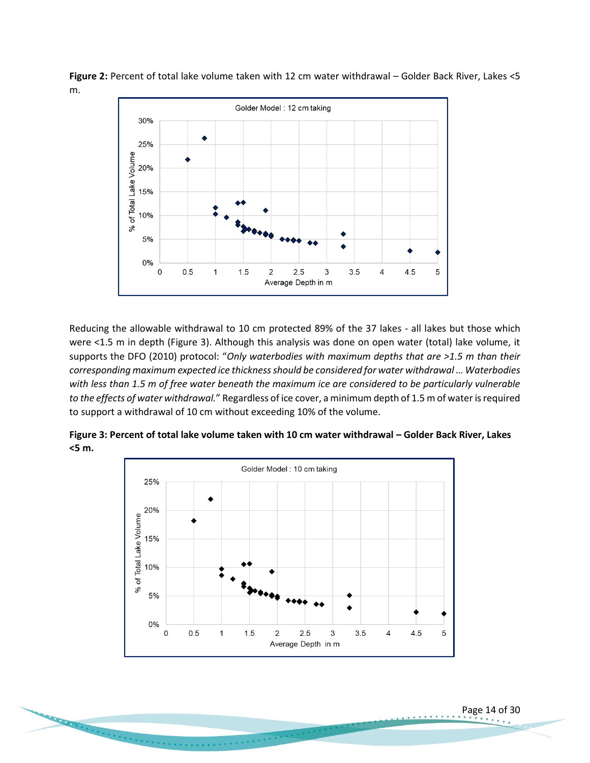

**Figure 2:** Percent of total lake volume taken with 12 cm water withdrawal – Golder Back River, Lakes <5 m.

Reducing the allowable withdrawal to 10 cm protected 89% of the 37 lakes - all lakes but those which were <1.5 m in depth (Figure 3). Although this analysis was done on open water (total) lake volume, it supports the DFO (2010) protocol: "*Only waterbodies with maximum depths that are >1.5 m than their corresponding maximum expected ice thickness should be considered for water withdrawal … Waterbodies with less than 1.5 m of free water beneath the maximum ice are considered to be particularly vulnerable to the effects of water withdrawal.*" Regardless of ice cover, a minimum depth of 1.5 m of water is required to support a withdrawal of 10 cm without exceeding 10% of the volume.



**Figure 3: Percent of total lake volume taken with 10 cm water withdrawal – Golder Back River, Lakes <5 m.**

. . . . . . . .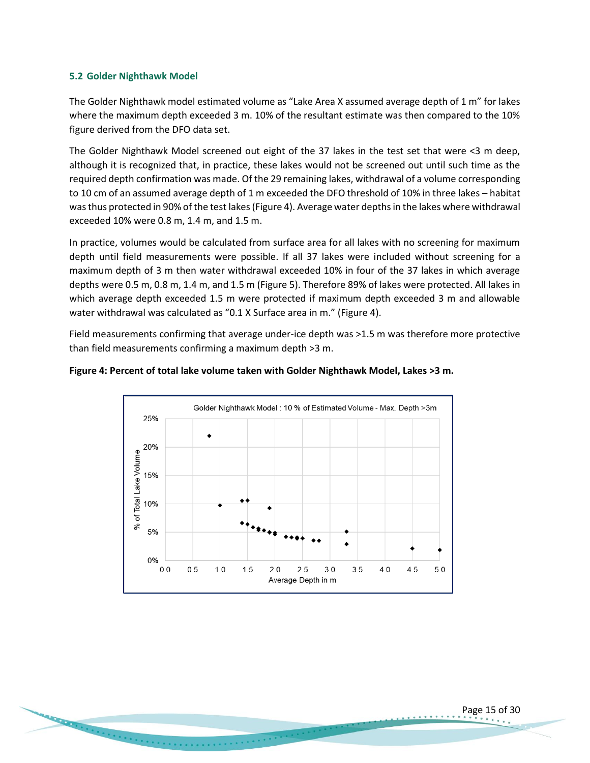# <span id="page-14-0"></span>**5.2 Golder Nighthawk Model**

The Golder Nighthawk model estimated volume as "Lake Area X assumed average depth of 1 m" for lakes where the maximum depth exceeded 3 m. 10% of the resultant estimate was then compared to the 10% figure derived from the DFO data set.

The Golder Nighthawk Model screened out eight of the 37 lakes in the test set that were <3 m deep, although it is recognized that, in practice, these lakes would not be screened out until such time as the required depth confirmation was made. Of the 29 remaining lakes, withdrawal of a volume corresponding to 10 cm of an assumed average depth of 1 m exceeded the DFO threshold of 10% in three lakes – habitat was thus protected in 90% of the test lakes (Figure 4). Average water depths in the lakes where withdrawal exceeded 10% were 0.8 m, 1.4 m, and 1.5 m.

In practice, volumes would be calculated from surface area for all lakes with no screening for maximum depth until field measurements were possible. If all 37 lakes were included without screening for a maximum depth of 3 m then water withdrawal exceeded 10% in four of the 37 lakes in which average depths were 0.5 m, 0.8 m, 1.4 m, and 1.5 m (Figure 5). Therefore 89% of lakes were protected. All lakes in which average depth exceeded 1.5 m were protected if maximum depth exceeded 3 m and allowable water withdrawal was calculated as "0.1 X Surface area in m." (Figure 4).

Field measurements confirming that average under-ice depth was >1.5 m was therefore more protective than field measurements confirming a maximum depth >3 m.



#### **Figure 4: Percent of total lake volume taken with Golder Nighthawk Model, Lakes >3 m.**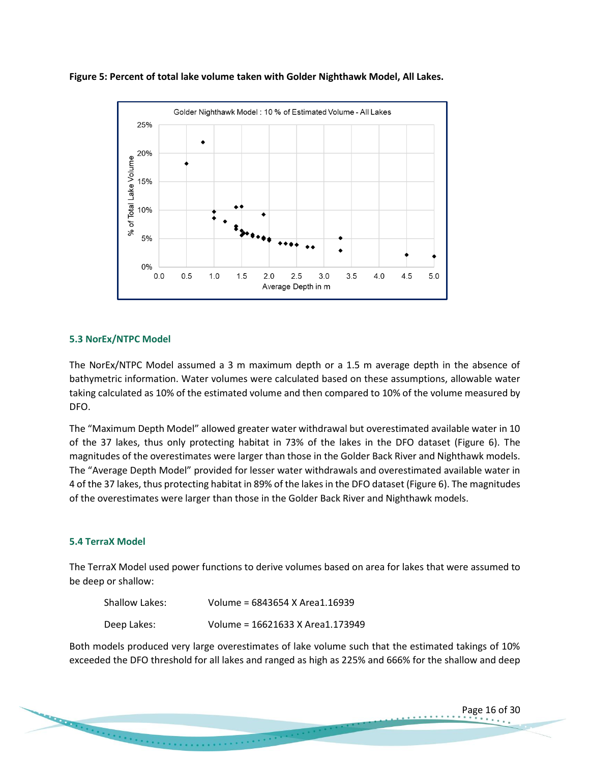



# <span id="page-15-0"></span>**5.3 NorEx/NTPC Model**

The NorEx/NTPC Model assumed a 3 m maximum depth or a 1.5 m average depth in the absence of bathymetric information. Water volumes were calculated based on these assumptions, allowable water taking calculated as 10% of the estimated volume and then compared to 10% of the volume measured by DFO.

The "Maximum Depth Model" allowed greater water withdrawal but overestimated available water in 10 of the 37 lakes, thus only protecting habitat in 73% of the lakes in the DFO dataset (Figure 6). The magnitudes of the overestimates were larger than those in the Golder Back River and Nighthawk models. The "Average Depth Model" provided for lesser water withdrawals and overestimated available water in 4 of the 37 lakes, thus protecting habitat in 89% of the lakes in the DFO dataset (Figure 6). The magnitudes of the overestimates were larger than those in the Golder Back River and Nighthawk models.

# <span id="page-15-1"></span>**5.4 TerraX Model**

The TerraX Model used power functions to derive volumes based on area for lakes that were assumed to be deep or shallow:

| Shallow Lakes: | Volume = 6843654 X Area1.16939   |
|----------------|----------------------------------|
| Deep Lakes:    | Volume = 16621633 X Area1.173949 |

Both models produced very large overestimates of lake volume such that the estimated takings of 10% exceeded the DFO threshold for all lakes and ranged as high as 225% and 666% for the shallow and deep

Page 16 of 30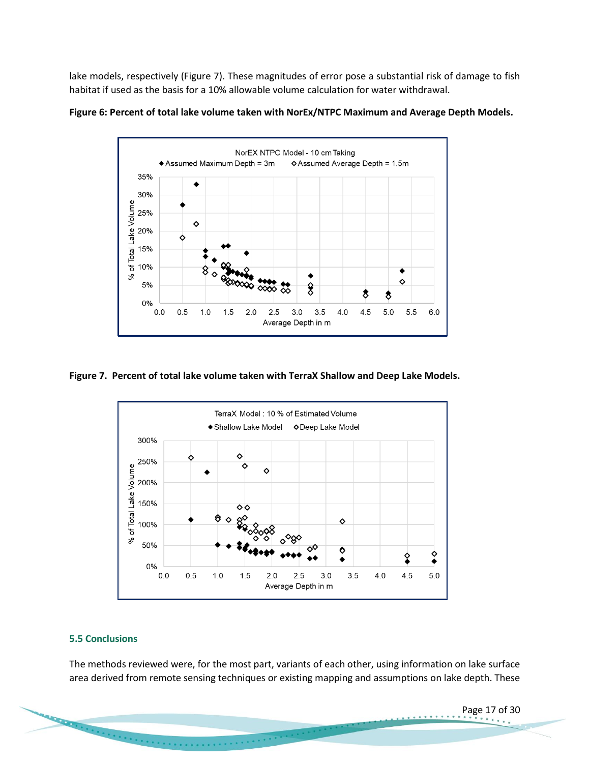lake models, respectively (Figure 7). These magnitudes of error pose a substantial risk of damage to fish habitat if used as the basis for a 10% allowable volume calculation for water withdrawal.





# **Figure 7. Percent of total lake volume taken with TerraX Shallow and Deep Lake Models.**



#### <span id="page-16-0"></span>**5.5 Conclusions**

**CONSTRAINING** 

The methods reviewed were, for the most part, variants of each other, using information on lake surface area derived from remote sensing techniques or existing mapping and assumptions on lake depth. These

 $\label{eq:2.1} \begin{split} \mathcal{F}^{(1)}(x) &= \mathcal{F}^{(1)}(x) + \mathcal{F}^{(2)}(x) + \mathcal{F}^{(1)}(x) + \mathcal{F}^{(2)}(x) + \mathcal{F}^{(1)}(x) + \mathcal{F}^{(2)}(x) + \mathcal{F}^{(1)}(x) \end{split}$ 

Page 17 of 30

. . . . . . .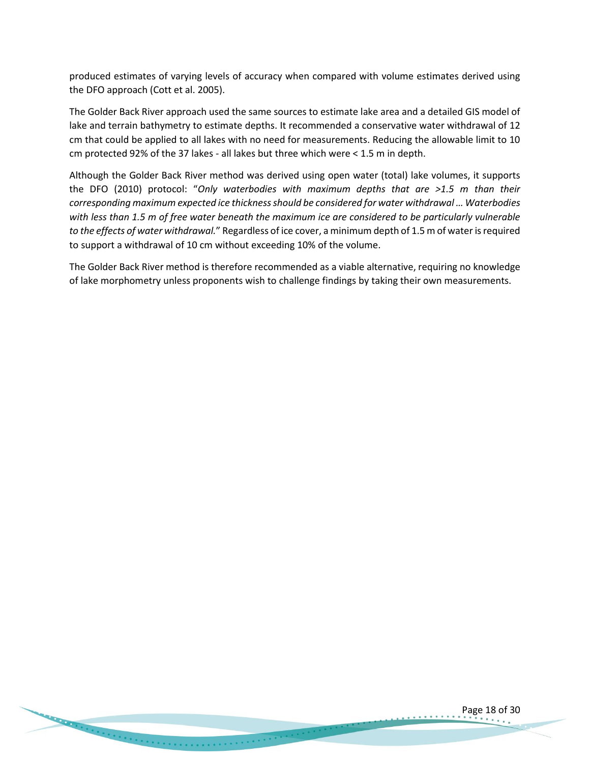produced estimates of varying levels of accuracy when compared with volume estimates derived using the DFO approach (Cott et al. 2005).

The Golder Back River approach used the same sources to estimate lake area and a detailed GIS model of lake and terrain bathymetry to estimate depths. It recommended a conservative water withdrawal of 12 cm that could be applied to all lakes with no need for measurements. Reducing the allowable limit to 10 cm protected 92% of the 37 lakes - all lakes but three which were < 1.5 m in depth.

Although the Golder Back River method was derived using open water (total) lake volumes, it supports the DFO (2010) protocol: "*Only waterbodies with maximum depths that are >1.5 m than their corresponding maximum expected ice thickness should be considered for water withdrawal … Waterbodies with less than 1.5 m of free water beneath the maximum ice are considered to be particularly vulnerable to the effects of water withdrawal.*" Regardless of ice cover, a minimum depth of 1.5 m of water is required to support a withdrawal of 10 cm without exceeding 10% of the volume.

The Golder Back River method is therefore recommended as a viable alternative, requiring no knowledge of lake morphometry unless proponents wish to challenge findings by taking their own measurements.

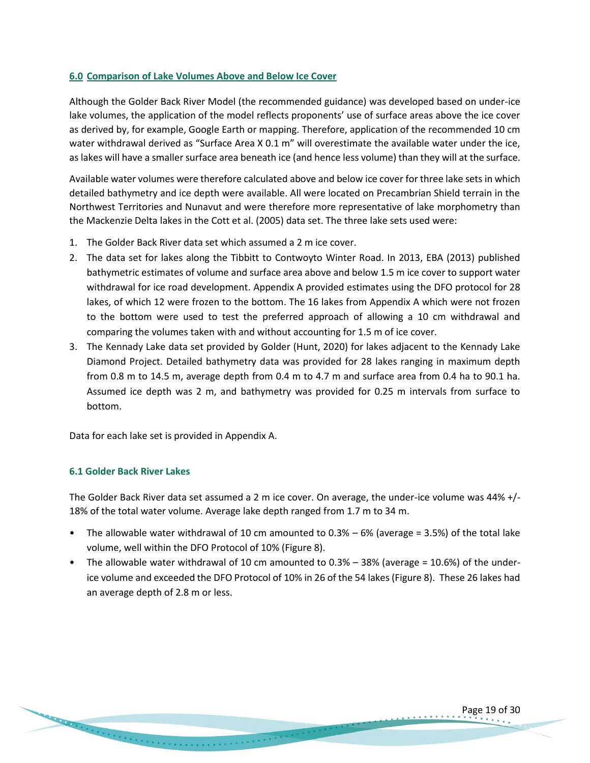# <span id="page-18-0"></span>**6.0 Comparison of Lake Volumes Above and Below Ice Cover**

Although the Golder Back River Model (the recommended guidance) was developed based on under-ice lake volumes, the application of the model reflects proponents' use of surface areas above the ice cover as derived by, for example, Google Earth or mapping. Therefore, application of the recommended 10 cm water withdrawal derived as "Surface Area X 0.1 m" will overestimate the available water under the ice, as lakes will have a smaller surface area beneath ice (and hence less volume) than they will at the surface.

Available water volumes were therefore calculated above and below ice cover for three lake sets in which detailed bathymetry and ice depth were available. All were located on Precambrian Shield terrain in the Northwest Territories and Nunavut and were therefore more representative of lake morphometry than the Mackenzie Delta lakes in the Cott et al. (2005) data set. The three lake sets used were:

- 1. The Golder Back River data set which assumed a 2 m ice cover.
- 2. The data set for lakes along the Tibbitt to Contwoyto Winter Road. In 2013, EBA (2013) published bathymetric estimates of volume and surface area above and below 1.5 m ice cover to support water withdrawal for ice road development. Appendix A provided estimates using the DFO protocol for 28 lakes, of which 12 were frozen to the bottom. The 16 lakes from Appendix A which were not frozen to the bottom were used to test the preferred approach of allowing a 10 cm withdrawal and comparing the volumes taken with and without accounting for 1.5 m of ice cover.
- 3. The Kennady Lake data set provided by Golder (Hunt, 2020) for lakes adjacent to the Kennady Lake Diamond Project. Detailed bathymetry data was provided for 28 lakes ranging in maximum depth from 0.8 m to 14.5 m, average depth from 0.4 m to 4.7 m and surface area from 0.4 ha to 90.1 ha. Assumed ice depth was 2 m, and bathymetry was provided for 0.25 m intervals from surface to bottom.

Data for each lake set is provided in Appendix A.

# <span id="page-18-1"></span>**6.1 Golder Back River Lakes**

The Golder Back River data set assumed a 2 m ice cover. On average, the under-ice volume was 44% +/- 18% of the total water volume. Average lake depth ranged from 1.7 m to 34 m.

- The allowable water withdrawal of 10 cm amounted to 0.3% 6% (average = 3.5%) of the total lake volume, well within the DFO Protocol of 10% (Figure 8).
- The allowable water withdrawal of 10 cm amounted to 0.3% 38% (average = 10.6%) of the underice volume and exceeded the DFO Protocol of 10% in 26 of the 54 lakes (Figure 8). These 26 lakes had an average depth of 2.8 m or less.

Page 19 of 30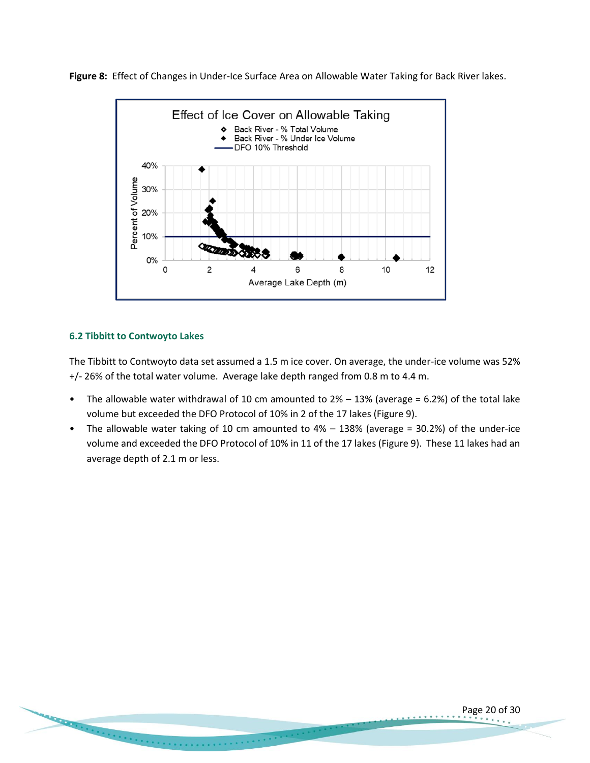**Figure 8:** Effect of Changes in Under-Ice Surface Area on Allowable Water Taking for Back River lakes.



# <span id="page-19-0"></span>**6.2 Tibbitt to Contwoyto Lakes**

**CONSTRAINING COMMAND COMMAND COMMAND COMMAND COMMAND COMMAND COMMAND COMMAND COMMAND COMMAND COMMAND COMMAND COMMAND COMMAND COMMAND COMMAND COMMAND COMMAND COMMAND COMMAND COMMAND COMMAND COMMAND COMMAND COMMAND COMMAND** 

The Tibbitt to Contwoyto data set assumed a 1.5 m ice cover. On average, the under-ice volume was 52% +/- 26% of the total water volume. Average lake depth ranged from 0.8 m to 4.4 m.

- The allowable water withdrawal of 10 cm amounted to  $2% 13%$  (average = 6.2%) of the total lake volume but exceeded the DFO Protocol of 10% in 2 of the 17 lakes (Figure 9).
- The allowable water taking of 10 cm amounted to 4% 138% (average = 30.2%) of the under-ice volume and exceeded the DFO Protocol of 10% in 11 of the 17 lakes (Figure 9). These 11 lakes had an average depth of 2.1 m or less.

Page 20 of 30

. . . . . . . .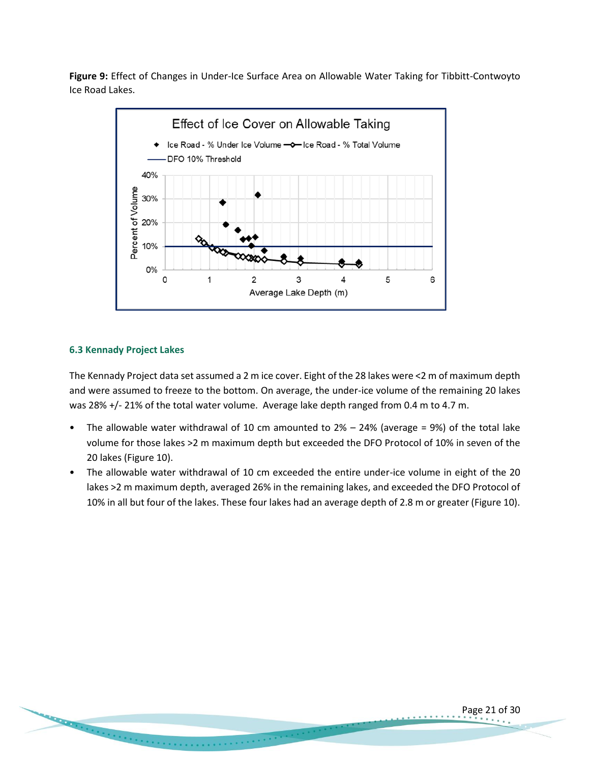**Figure 9:** Effect of Changes in Under-Ice Surface Area on Allowable Water Taking for Tibbitt-Contwoyto Ice Road Lakes.



#### <span id="page-20-0"></span>**6.3 Kennady Project Lakes**

**CONSTRAINING COMMAND** 

The Kennady Project data set assumed a 2 m ice cover. Eight of the 28 lakes were <2 m of maximum depth and were assumed to freeze to the bottom. On average, the under-ice volume of the remaining 20 lakes was 28% +/- 21% of the total water volume. Average lake depth ranged from 0.4 m to 4.7 m.

- The allowable water withdrawal of 10 cm amounted to  $2% 24%$  (average = 9%) of the total lake volume for those lakes >2 m maximum depth but exceeded the DFO Protocol of 10% in seven of the 20 lakes (Figure 10).
- The allowable water withdrawal of 10 cm exceeded the entire under-ice volume in eight of the 20 lakes >2 m maximum depth, averaged 26% in the remaining lakes, and exceeded the DFO Protocol of 10% in all but four of the lakes. These four lakes had an average depth of 2.8 m or greater (Figure 10).

. . . . . . . . . . . . . .

Page 21 of 30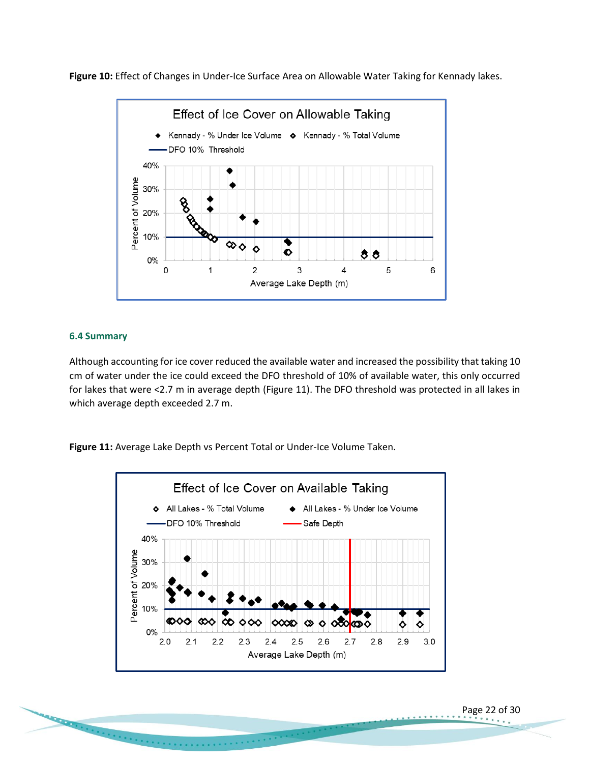**Figure 10:** Effect of Changes in Under-Ice Surface Area on Allowable Water Taking for Kennady lakes.



## <span id="page-21-0"></span>**6.4 Summary**

Although accounting for ice cover reduced the available water and increased the possibility that taking 10 cm of water under the ice could exceed the DFO threshold of 10% of available water, this only occurred for lakes that were <2.7 m in average depth (Figure 11). The DFO threshold was protected in all lakes in which average depth exceeded 2.7 m.

**Figure 11:** Average Lake Depth vs Percent Total or Under-Ice Volume Taken.



. . . . . . . . . . . . .

Page 22 of 30

. . . . . . .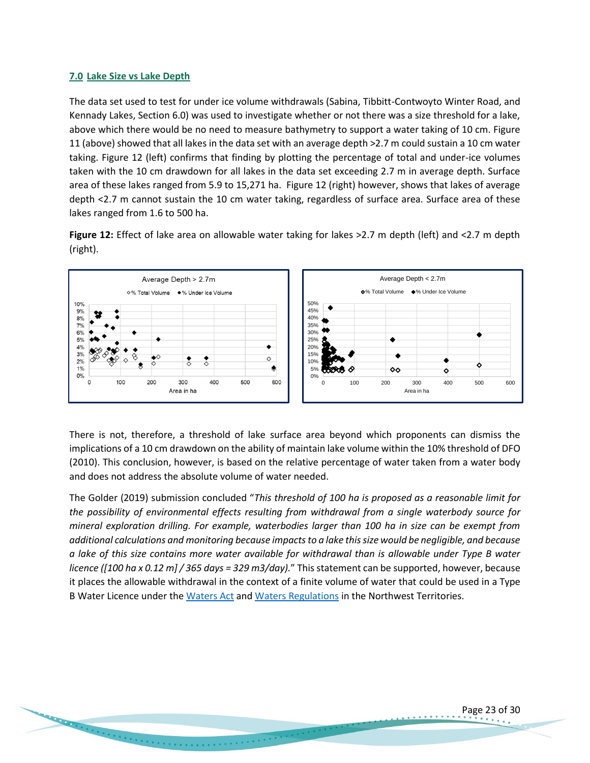# <span id="page-22-0"></span>**7.0 Lake Size vs Lake Depth**

The data set used to test for under ice volume withdrawals (Sabina, Tibbitt-Contwoyto Winter Road, and Kennady Lakes, Section 6.0) was used to investigate whether or not there was a size threshold for a lake, above which there would be no need to measure bathymetry to support a water taking of 10 cm. Figure 11 (above) showed that all lakes in the data set with an average depth >2.7 m could sustain a 10 cm water taking. Figure 12 (left) confirms that finding by plotting the percentage of total and under-ice volumes taken with the 10 cm drawdown for all lakes in the data set exceeding 2.7 m in average depth. Surface area of these lakes ranged from 5.9 to 15,271 ha. Figure 12 (right) however, shows that lakes of average depth <2.7 m cannot sustain the 10 cm water taking, regardless of surface area. Surface area of these lakes ranged from 1.6 to 500 ha.

**Figure 12:** Effect of lake area on allowable water taking for lakes >2.7 m depth (left) and <2.7 m depth (right).



There is not, therefore, a threshold of lake surface area beyond which proponents can dismiss the implications of a 10 cm drawdown on the ability of maintain lake volume within the 10% threshold of DFO (2010). This conclusion, however, is based on the relative percentage of water taken from a water body and does not address the absolute volume of water needed.

The Golder (2019) submission concluded "*This threshold of 100 ha is proposed as a reasonable limit for the possibility of environmental effects resulting from withdrawal from a single waterbody source for mineral exploration drilling. For example, waterbodies larger than 100 ha in size can be exempt from additional calculations and monitoring because impacts to a lake this size would be negligible, and because a lake of this size contains more water available for withdrawal than is allowable under Type B water licence ([100 ha x 0.12 m] / 365 days = 329 m3/day).*" This statement can be supported, however, because it places the allowable withdrawal in the context of a finite volume of water that could be used in a Type B Water Licence under the [Waters Act](http://www.justice.gov.nt.ca/en/files/legislation/waters/waters.a.pdf) an[d Waters Regulations](https://mvlwb.com/sites/default/files/documents/TAB%207%20-%20Waters%20Regulations%20-%202014.pdf) in the Northwest Territories.

Page 23 of 30

. . . . . . . . . .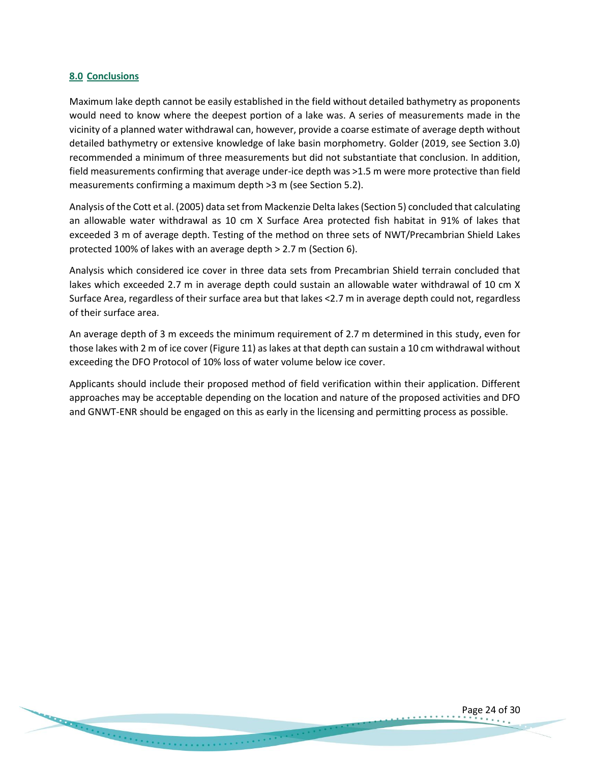#### <span id="page-23-0"></span>**8.0 Conclusions**

Maximum lake depth cannot be easily established in the field without detailed bathymetry as proponents would need to know where the deepest portion of a lake was. A series of measurements made in the vicinity of a planned water withdrawal can, however, provide a coarse estimate of average depth without detailed bathymetry or extensive knowledge of lake basin morphometry. Golder (2019, see Section 3.0) recommended a minimum of three measurements but did not substantiate that conclusion. In addition, field measurements confirming that average under-ice depth was >1.5 m were more protective than field measurements confirming a maximum depth >3 m (see Section 5.2).

Analysis of the Cott et al. (2005) data set from Mackenzie Delta lakes (Section 5) concluded that calculating an allowable water withdrawal as 10 cm X Surface Area protected fish habitat in 91% of lakes that exceeded 3 m of average depth. Testing of the method on three sets of NWT/Precambrian Shield Lakes protected 100% of lakes with an average depth > 2.7 m (Section 6).

Analysis which considered ice cover in three data sets from Precambrian Shield terrain concluded that lakes which exceeded 2.7 m in average depth could sustain an allowable water withdrawal of 10 cm X Surface Area, regardless of their surface area but that lakes <2.7 m in average depth could not, regardless of their surface area.

An average depth of 3 m exceeds the minimum requirement of 2.7 m determined in this study, even for those lakes with 2 m of ice cover (Figure 11) as lakes at that depth can sustain a 10 cm withdrawal without exceeding the DFO Protocol of 10% loss of water volume below ice cover.

Applicants should include their proposed method of field verification within their application. Different approaches may be acceptable depending on the location and nature of the proposed activities and DFO and GNWT-ENR should be engaged on this as early in the licensing and permitting process as possible.

Page 24 of 30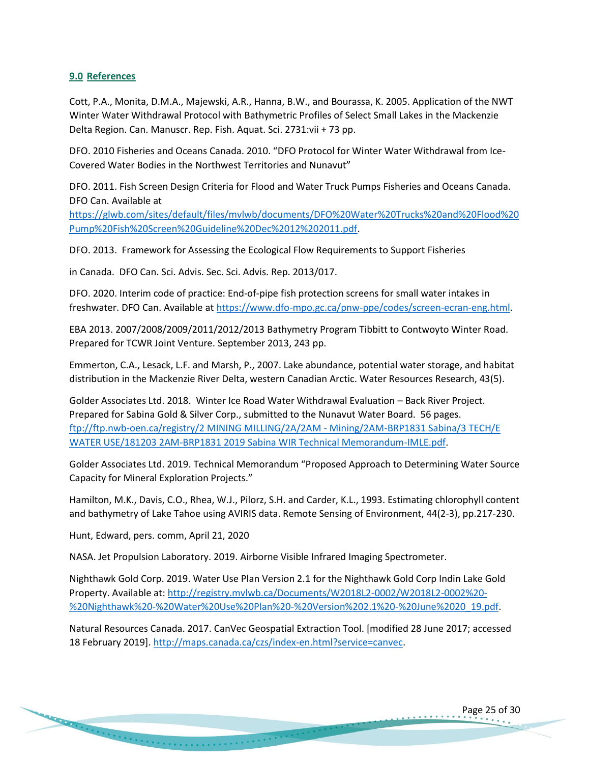## <span id="page-24-0"></span>**9.0 References**

Cott, P.A., Monita, D.M.A., Majewski, A.R., Hanna, B.W., and Bourassa, K. 2005. Application of the NWT Winter Water Withdrawal Protocol with Bathymetric Profiles of Select Small Lakes in the Mackenzie Delta Region. Can. Manuscr. Rep. Fish. Aquat. Sci. 2731:vii + 73 pp.

DFO. 2010 Fisheries and Oceans Canada. 2010. "DFO Protocol for Winter Water Withdrawal from Ice-Covered Water Bodies in the Northwest Territories and Nunavut"

DFO. 2011. Fish Screen Design Criteria for Flood and Water Truck Pumps Fisheries and Oceans Canada. DFO Can. Available at

[https://glwb.com/sites/default/files/mvlwb/documents/DFO%20Water%20Trucks%20and%20Flood%20](https://glwb.com/sites/default/files/mvlwb/documents/DFO%20Water%20Trucks%20and%20Flood%20Pump%20Fish%20Screen%20Guideline%20Dec%2012%202011.pdf) [Pump%20Fish%20Screen%20Guideline%20Dec%2012%202011.pdf.](https://glwb.com/sites/default/files/mvlwb/documents/DFO%20Water%20Trucks%20and%20Flood%20Pump%20Fish%20Screen%20Guideline%20Dec%2012%202011.pdf)

DFO. 2013. Framework for Assessing the Ecological Flow Requirements to Support Fisheries

in Canada. DFO Can. Sci. Advis. Sec. Sci. Advis. Rep. 2013/017.

DFO. 2020. Interim code of practice: End-of-pipe fish protection screens for small water intakes in freshwater. DFO Can. Available a[t https://www.dfo-mpo.gc.ca/pnw-ppe/codes/screen-ecran-eng.html.](https://www.dfo-mpo.gc.ca/pnw-ppe/codes/screen-ecran-eng.html)

EBA 2013. 2007/2008/2009/2011/2012/2013 Bathymetry Program Tibbitt to Contwoyto Winter Road. Prepared for TCWR Joint Venture. September 2013, 243 pp.

Emmerton, C.A., Lesack, L.F. and Marsh, P., 2007. Lake abundance, potential water storage, and habitat distribution in the Mackenzie River Delta, western Canadian Arctic. Water Resources Research, 43(5).

Golder Associates Ltd. 2018. Winter Ice Road Water Withdrawal Evaluation – Back River Project. Prepared for Sabina Gold & Silver Corp., submitted to the Nunavut Water Board. 56 pages. [ftp://ftp.nwb-oen.ca/registry/2 MINING MILLING/2A/2AM -](ftp://ftp.nwb-oen.ca/registry/2 MINING MILLING/2A/2AM - Mining/2AM-BRP1831 Sabina/3 TECH/E WATER USE/181203 2AM-BRP1831 2019 Sabina WIR Technical Memorandum-IMLE.pdf) Mining/2AM-BRP1831 Sabina/3 TECH/E [WATER USE/181203 2AM-BRP1831 2019 Sabina WIR Technical Memorandum-IMLE.pdf.](ftp://ftp.nwb-oen.ca/registry/2 MINING MILLING/2A/2AM - Mining/2AM-BRP1831 Sabina/3 TECH/E WATER USE/181203 2AM-BRP1831 2019 Sabina WIR Technical Memorandum-IMLE.pdf)

Golder Associates Ltd. 2019. Technical Memorandum "Proposed Approach to Determining Water Source Capacity for Mineral Exploration Projects."

Hamilton, M.K., Davis, C.O., Rhea, W.J., Pilorz, S.H. and Carder, K.L., 1993. Estimating chlorophyll content and bathymetry of Lake Tahoe using AVIRIS data. Remote Sensing of Environment, 44(2-3), pp.217-230.

Hunt, Edward, pers. comm, April 21, 2020

NASA. Jet Propulsion Laboratory. 2019. Airborne Visible Infrared Imaging Spectrometer.

Nighthawk Gold Corp. 2019. Water Use Plan Version 2.1 for the Nighthawk Gold Corp Indin Lake Gold Property. Available at: [http://registry.mvlwb.ca/Documents/W2018L2-0002/W2018L2-0002%20-](http://registry.mvlwb.ca/Documents/W2018L2-0002/W2018L2-0002%20-%20Nighthawk%20-%20Water%20Use%20Plan%20-%20Version%202.1%20-%20June%2020_19.pdf) [%20Nighthawk%20-%20Water%20Use%20Plan%20-%20Version%202.1%20-%20June%2020\\_19.pdf.](http://registry.mvlwb.ca/Documents/W2018L2-0002/W2018L2-0002%20-%20Nighthawk%20-%20Water%20Use%20Plan%20-%20Version%202.1%20-%20June%2020_19.pdf)

Natural Resources Canada. 2017. CanVec Geospatial Extraction Tool. [modified 28 June 2017; accessed 18 February 2019]. [http://maps.canada.ca/czs/index-en.html?service=canvec.](http://maps.canada.ca/czs/index-en.html?service=canvec)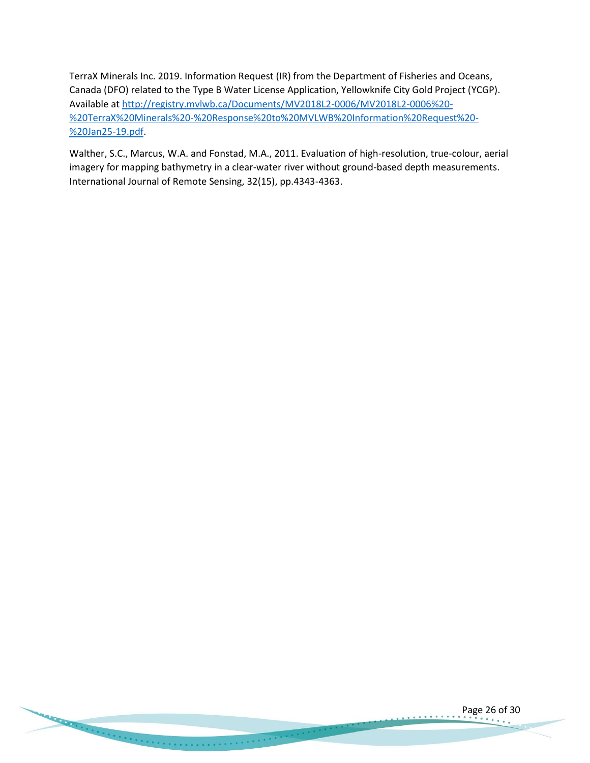TerraX Minerals Inc. 2019. Information Request (IR) from the Department of Fisheries and Oceans, Canada (DFO) related to the Type B Water License Application, Yellowknife City Gold Project (YCGP). Available a[t http://registry.mvlwb.ca/Documents/MV2018L2-0006/MV2018L2-0006%20-](http://registry.mvlwb.ca/Documents/MV2018L2-0006/MV2018L2-0006%20-%20TerraX%20Minerals%20-%20Response%20to%20MVLWB%20Information%20Request%20-%20Jan25-19.pdf) [%20TerraX%20Minerals%20-%20Response%20to%20MVLWB%20Information%20Request%20-](http://registry.mvlwb.ca/Documents/MV2018L2-0006/MV2018L2-0006%20-%20TerraX%20Minerals%20-%20Response%20to%20MVLWB%20Information%20Request%20-%20Jan25-19.pdf) [%20Jan25-19.pdf.](http://registry.mvlwb.ca/Documents/MV2018L2-0006/MV2018L2-0006%20-%20TerraX%20Minerals%20-%20Response%20to%20MVLWB%20Information%20Request%20-%20Jan25-19.pdf)

Walther, S.C., Marcus, W.A. and Fonstad, M.A., 2011. Evaluation of high-resolution, true-colour, aerial imagery for mapping bathymetry in a clear-water river without ground-based depth measurements. International Journal of Remote Sensing, 32(15), pp.4343-4363.

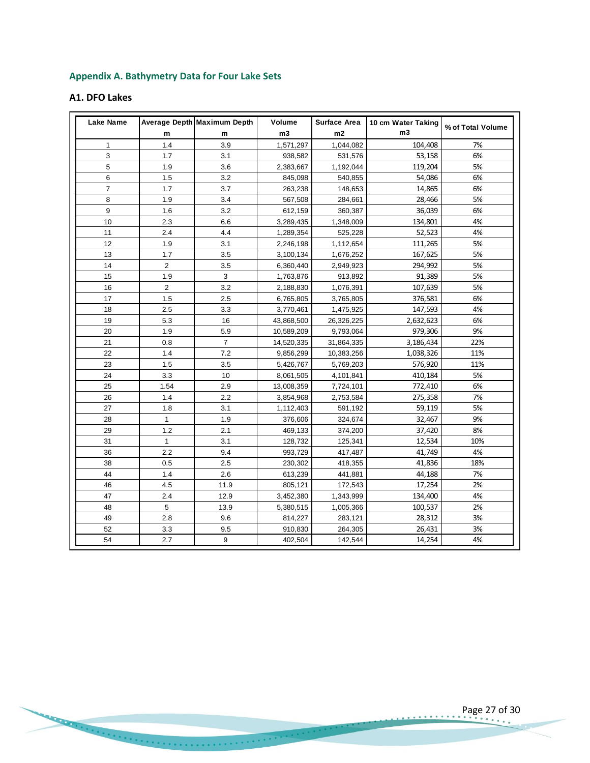# **Appendix A. Bathymetry Data for Four Lake Sets**

# **A1. DFO Lakes**

| Lake Name      |                | Average Depth Maximum Depth | Volume     | <b>Surface Area</b> | 10 cm Water Taking | % of Total Volume |
|----------------|----------------|-----------------------------|------------|---------------------|--------------------|-------------------|
|                | m              | m                           | m3         | m2                  | m3                 |                   |
| 1              | 1.4            | 3.9                         | 1,571,297  | 1,044,082           | 104,408            | 7%                |
| 3              | 1.7            | 3.1                         | 938,582    | 531,576             | 53,158             | 6%                |
| 5              | 1.9            | 3.6                         | 2,383,667  | 1,192,044           | 119,204            | 5%                |
| 6              | 1.5            | 3.2                         | 845,098    | 540,855             | 54,086             | 6%                |
| $\overline{7}$ | 1.7            | 3.7                         | 263,238    | 148,653             | 14,865             | 6%                |
| 8              | 1.9            | 3.4                         | 567,508    | 284,661             | 28,466             | 5%                |
| 9              | 1.6            | 3.2                         | 612,159    | 360,387             | 36,039             | 6%                |
| 10             | 2.3            | 6.6                         | 3,289,435  | 1,348,009           | 134,801            | 4%                |
| 11             | 2.4            | 4.4                         | 1,289,354  | 525,228             | 52,523             | 4%                |
| 12             | 1.9            | 3.1                         | 2,246,198  | 1,112,654           | 111,265            | 5%                |
| 13             | 1.7            | 3.5                         | 3,100,134  | 1,676,252           | 167,625            | 5%                |
| 14             | $\overline{2}$ | 3.5                         | 6,360,440  | 2,949,923           | 294,992            | 5%                |
| 15             | 1.9            | 3                           | 1,763,876  | 913,892             | 91,389             | 5%                |
| 16             | $\overline{2}$ | 3.2                         | 2,188,830  | 1,076,391           | 107,639            | 5%                |
| 17             | 1.5            | 2.5                         | 6,765,805  | 3,765,805           | 376,581            | 6%                |
| 18             | 2.5            | 3.3                         | 3,770,461  | 1,475,925           | 147,593            | 4%                |
| 19             | 5.3            | 16                          | 43,868,500 | 26,326,225          | 2,632,623          | 6%                |
| 20             | 1.9            | 5.9                         | 10,589,209 | 9,793,064           | 979,306            | 9%                |
| 21             | 0.8            | $\overline{7}$              | 14,520,335 | 31,864,335          | 3,186,434          | 22%               |
| 22             | 1.4            | 7.2                         | 9,856,299  | 10,383,256          | 1,038,326          | 11%               |
| 23             | 1.5            | 3.5                         | 5,426,767  | 5,769,203           | 576,920            | 11%               |
| 24             | 3.3            | 10                          | 8,061,505  | 4,101,841           | 410,184            | 5%                |
| 25             | 1.54           | 2.9                         | 13,008,359 | 7,724,101           | 772,410            | 6%                |
| 26             | 1.4            | 2.2                         | 3,854,968  | 2,753,584           | 275,358            | 7%                |
| 27             | 1.8            | 3.1                         | 1,112,403  | 591,192             | 59,119             | 5%                |
| 28             | $\mathbf{1}$   | 1.9                         | 376,606    | 324,674             | 32,467             | 9%                |
| 29             | 1.2            | 2.1                         | 469,133    | 374,200             | 37,420             | 8%                |
| 31             | $\mathbf{1}$   | 3.1                         | 128,732    | 125,341             | 12,534             | 10%               |
| 36             | 2.2            | 9.4                         | 993,729    | 417,487             | 41,749             | 4%                |
| 38             | 0.5            | 2.5                         | 230,302    | 418,355             | 41,836             | 18%               |
| 44             | 1.4            | 2.6                         | 613,239    | 441.881             | 44,188             | 7%                |
| 46             | 4.5            | 11.9                        | 805,121    | 172,543             | 17,254             | 2%                |
| 47             | 2.4            | 12.9                        | 3,452,380  | 1,343,999           | 134,400            | 4%                |
| 48             | 5              | 13.9                        | 5,380,515  | 1,005,366           | 100,537            | 2%                |
| 49             | 2.8            | 9.6                         | 814,227    | 283,121             | 28,312             | 3%                |
| 52             | 3.3            | 9.5                         | 910,830    | 264,305             | 26,431             | 3%                |
| 54             | 2.7            | 9                           | 402,504    | 142,544             | 14,254             | 4%                |

Page 27 of 30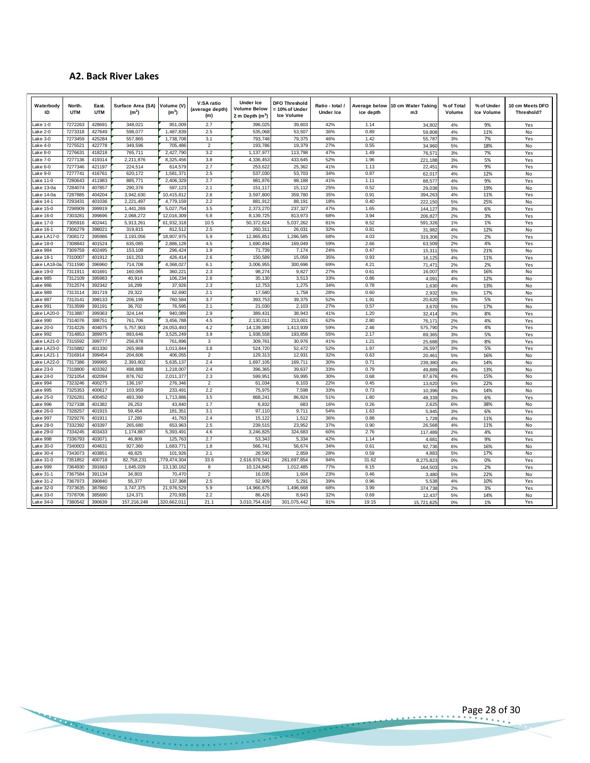# **A2. Back River Lakes**

| Waterbody<br>ID        | North.<br><b>UTM</b> | East.<br><b>UTM</b> | Surface Area (SA)<br>(m <sup>2</sup> ) | Volume (V)<br>(m <sup>3</sup> ) | V:SA ratio<br>(average depth)<br>(m) | <b>Under Ice</b><br><b>Volume Below</b><br>2 m Depth $(m^3)$ | <b>DFO Threshold</b><br>= 10% of Under<br><b>Ice Volume</b> | Ratio - total /<br><b>Under Ice</b> | Average below<br>ice depth | 10 cm Water Taking<br>m <sub>3</sub> | % of Total<br>Volume | % of Under<br><b>Ice Volume</b> | 10 cm Meets DFO<br>Threshold? |
|------------------------|----------------------|---------------------|----------------------------------------|---------------------------------|--------------------------------------|--------------------------------------------------------------|-------------------------------------------------------------|-------------------------------------|----------------------------|--------------------------------------|----------------------|---------------------------------|-------------------------------|
| Lake 1-0               | 7272263              | 428691              | 348,021                                | 951,009                         | 2.7                                  | 396,02                                                       | 39,603                                                      | 42%                                 | 1.14                       | 34,802                               | 4%                   | 9%                              | Yes                           |
| ake 2-0                | 7273318              | 427649              | 598,077                                | 1,487,839                       | 2.5                                  | 535,068                                                      | 53,507                                                      | 36%                                 | 0.89                       | 59,808                               | 4%                   | 11%                             | No                            |
| ake 3-0<br>ake 4-0     | 7273459<br>7275521   | 425284<br>422778    | 557,865<br>349.596                     | 1,738,708<br>705,486            | 3.1<br>$\overline{2}$                | 793,748<br>193,786                                           | 79,375<br>19,379                                            | 46%<br>27%                          | 1.42<br>0.55               | 55,787<br>34,960                     | 3%<br>5%             | 7%<br>18%                       | Yes<br>No                     |
| ake 8-0                | 7276631              | 418218              | 765.711                                | 2,427,79                        | 3.2                                  | 1.137.97                                                     | 113.798                                                     | 47%                                 | 1.49                       | 76,571                               | 3%                   | 7%                              | Yes                           |
| ake 7-0.               | 7277136              | 419314              | 2,211,876                              | 8,325,456                       | 3.8                                  | 4,336,453                                                    | 433,645                                                     | 52%                                 | 1.96                       | 221,188                              | 3%                   | 5%                              | Yes                           |
| ake 6-0                | 7277346              | 421197              | 224,514                                | 614,579                         | 2.7                                  | 253,62                                                       | 25,362                                                      | 41%                                 | 1.13                       | 22,451                               | 4%                   | 9%                              | Yes                           |
| ake 9-0                | 7277741              | 416761              | 620,172                                | 1,581,37                        | 2.5                                  | 537,030                                                      | 53,703                                                      | 34%                                 | 0.87                       | 62,017                               | 4%                   | 12%                             | No                            |
| ake 11-0               | 7280643<br>7284074   | 411983              | 885.771                                | 2,406,32<br>597,123             | 2.7<br>2.1                           | 981.876                                                      | 98,188                                                      | 41%<br>25%                          | 1.11                       | 88,577                               | 4%                   | 9%<br>19%                       | Yes                           |
| ake 13-0a<br>ake 14-0a | 7287885              | 407857<br>404204    | 290,376<br>3,942,630                   | 10,415,81                       | 2.6                                  | 151,117<br>3,597,800                                         | 15,112<br>359,780                                           | 35%                                 | 0.52<br>0.91               | 29,038<br>394,263                    | 5%<br>4%             | 11%                             | No<br>Yes                     |
| ake 14-1               | 7293431              | 401036              | 2,221,497                              | 4,779,159                       | 2.2                                  | 881,912                                                      | 88,191                                                      | 18%                                 | 0.40                       | 222,150                              | 5%                   | 25%                             | No                            |
| ake 15-0               | 7298909              | 399919              | 1,441,269                              | 5,027,75                        | 3.5                                  | 2,373,270                                                    | 237,327                                                     | 47%                                 | 1.65                       | 144,127                              | 3%                   | 6%                              | Yes                           |
| ake 16-0               | 7303281              | 399696              | 2,068,272                              | 12,016,309                      | 5.8                                  | 8,139,72                                                     | 813,973                                                     | 68%                                 | 3.94                       | 206.827                              | 2%                   | 3%                              | Yes                           |
| ake 17-0               | 7305916              | 402441              | 5.913.261                              | 61,932,318                      | 10.5                                 | 50,372,624                                                   | 5,037,262                                                   | 81%                                 | 8.52                       | 591,326                              | 1%                   | 1%                              | Yes                           |
| ake 16-1               | 7306279              | 398021              | 319,815                                | 812,512                         | 2.5                                  | 260,31                                                       | 26,031                                                      | 32%                                 | 0.81                       | 31,982                               | 4%                   | 12%                             | No                            |
| ake LA17-0<br>ake 18-0 | 7308172<br>7308843   | 395986<br>401524    | 3,193,056<br>635,085                   | 18,907,975<br>2,886,128         | 5.9<br>4.5                           | 12,865,85<br>1,690,49                                        | 1,286,585<br>169,049                                        | 68%<br>59%                          | 4.03<br>2.66               | 319,306<br>63.509                    | 2%<br>2%             | 2%<br>4%                        | Yes<br>Yes                    |
| ake 984                | 7309759              | 402495              | 153,108                                | 296,424                         | 1.9                                  | 71,739                                                       | 7,174                                                       | 24%                                 | 0.47                       | 15,311                               | 5%                   | 21%                             | No                            |
| ake 18-1               | 7310007              | 401912              | 161,253                                | 426.414                         | 2.6                                  | 150.589                                                      | 15.059                                                      | 35%                                 | 0.93                       | 16,125                               | 4%                   | 11%                             | Yes                           |
| ake LA18-0.            | 7311590              | 396960              | 714,708                                | 4,368,027                       | 6.1                                  | 3,006,95                                                     | 300,696                                                     | 69%                                 | 4.21                       | 71,471                               | 2%                   | 2%                              | Yes                           |
| ake 19-0               | 7311911              | 401691              | 160,065                                | 360,221                         | 2.3                                  | 98,274                                                       | 9,827                                                       | 27%                                 | 0.61                       | 16,007                               | 4%                   | 16%                             | No                            |
| ake 985                | 7312109              | 395983              | 40,914                                 | 106,23                          | 2.6                                  | 35,130                                                       | 3,513                                                       | 33%                                 | 0.86                       | 4,091                                | 4%                   | 12%                             | No                            |
| ake 986<br>ake 989     | 7312574<br>7313114   | 392342<br>391719    | 16,299<br>29,322                       | 37,926<br>62,69                 | 2.3<br>2.1                           | 12,75<br>17,580                                              | 1,275<br>1,758                                              | 34%<br>28%                          | 0.78<br>0.60               | 1,630<br>2,932                       | 4%<br>5%             | 13%<br>17%                      | $\mathsf{No}$<br>No           |
| ake 987                | 7313141              | 398133              | 206,199                                | 760,584                         | 3.7                                  | 393,753                                                      | 39,375                                                      | 52%                                 | 1.91                       | 20,620                               | 3%                   | 5%                              | Yes                           |
| ake 991                | 7313599              | 391191              | 36,702                                 | 76,59                           | 2.1                                  | 21,030                                                       | 2,103                                                       | 27%                                 | 0.57                       | 3,670                                | 5%                   | 17%                             | No                            |
| ake LA20-C             | 7313887              | 399363              | 324,144                                | 940.089                         | 2.9                                  | 389,43                                                       | 38,943                                                      | 41%                                 | 1.20                       | 32,414                               | 3%                   | 8%                              | Yes                           |
| ake 990                | 7314076              | 388751              | 761,706                                | 3,456,788                       | 4.5                                  | 2,130,01                                                     | 213,001                                                     | 62%                                 | 2.80                       | 76.171                               | 2%                   | 4%                              | Yes                           |
| ake 20-0               | 7314226              | 404075              | 5,757,903                              | 24.053.493                      | 4.2                                  | 14,139,389                                                   | 1,413,939                                                   | 59%                                 | 2.46                       | 575,790                              | 2%                   | 4%                              | Yes                           |
| ake 992<br>ake LA21-0  | 7314853<br>7315592   | 389975<br>399777    | 893.646<br>256,878                     | 3.525.249<br>761,896            | 3.9<br>$\mathbf{3}$                  | 1,938,558<br>309,76                                          | 193,856<br>30,976                                           | 55%<br>41%                          | 2.17<br>1.21               | 89,365<br>25,688                     | 3%                   | 5%<br>8%                        | Yes                           |
| ake LA23-0             | 7315882              | 401330              | 265,968                                | 1,013,844                       | 3.8                                  | 524,720                                                      | 52,472                                                      | 52%                                 | 1.97                       | 26.597                               | 3%<br>3%             | 5%                              | Yes<br>Yes                    |
| ake LA21-1             | 7316914              | 399454              | 204,606                                | 406,05                          | $\overline{2}$                       | 129,31                                                       | 12,931                                                      | 32%                                 | 0.63                       | 20,461                               | 5%                   | 16%                             | No                            |
| ake LA22-0             | 7317386              | 399995              | 2.393.802                              | 5,635,13                        | 2.4                                  | 1.697.10                                                     | 169.711                                                     | 30%                                 | 0.71                       | 239.380                              | 4%                   | 14%                             | No                            |
| ake 23-0.              | 7318800              | 403392              | 498,888                                | 1,218,007                       | 2.4                                  | 396,36                                                       | 39,637                                                      | 33%                                 | 0.79                       | 49,889                               | 4%                   | 13%                             | No                            |
| ake 24-0               | 7321054              | 402094              | 876,762                                | 2,011,377                       | 2.3                                  | 599,95                                                       | 59,995                                                      | 30%                                 | 0.68                       | 87.676                               | 4%                   | 15%                             | No                            |
| ake 994<br>ake 995     | 7323246<br>7325353   | 400275<br>400617    | 136,197<br>103.959                     | 276,346<br>233.49               | $\overline{2}$<br>2.2                | 61,034<br>75.97                                              | 6,103<br>7,598                                              | 22%<br>33%                          | 0.45<br>0.73               | 13,620<br>10,396                     | 5%<br>4%             | 22%<br>14%                      | No<br>No                      |
| _ake 25-0              | 7326281              | 400452              | 483,390                                | 1,713,886                       | 3.5                                  | 868,24                                                       | 86,824                                                      | 51%                                 | 1.80                       | 48,339                               | 3%                   | 6%                              | Yes                           |
| ake 996                | 7327338              | 401382              | 26,253                                 | 43.840                          | 1.7                                  | 6.832                                                        | 683                                                         | 16%                                 | 0.26                       | 2,625                                | 6%                   | 38%                             | No                            |
| ake 26-0               | 7328257              | 401915              | 59,454                                 | 181,35                          | 3.1                                  | 97,110                                                       | 9,711                                                       | 54%                                 | 1.63                       | 5,945                                | 3%                   | 6%                              | Yes                           |
| ake 997.               | 7329276              | 401911              | 17,280                                 | 41,763                          | 2.4                                  | 15,122                                                       | 1,512                                                       | 36%                                 | 0.88                       | 1,728                                | 4%                   | 11%                             | No                            |
| ake 28-0               | 7332392              | 403397              | 265,680                                | 653,963                         | 2.5                                  | 239,515                                                      | 23,952                                                      | 37%                                 | 0.90                       | 26.568                               | 4%                   | 11%                             | No                            |
| ake 29-0               | 7334245<br>7336793   | 403433<br>403071    | 1,174,887<br>46.809                    | 5.393.49                        | 4.6                                  | 3.246.82                                                     | 324,683<br>5.334                                            | 60%<br>42%                          | 2.76                       | 117,489                              | 2%                   | 4%                              | Yes                           |
| ake 998<br>ake 30-0    | 7340003              | 404631              | 927,360                                | 125,76<br>1,683,77              | 2.7<br>1.8                           | 53,343<br>566,74                                             | 56,674                                                      | 34%                                 | 1.14<br>0.61               | 4.681<br>92,736                      | 4%<br>6%             | 9%<br>16%                       | Yes<br>No                     |
| ake 30-4               | 7343073              | 403851              | 48,825                                 | 101,926                         | 2.1                                  | 28,590                                                       | 2,859                                                       | 28%                                 | 0.59                       | 4,883                                | 5%                   | 17%                             | No                            |
| ake 31-0.              | 7351852              | 400718              | 82,758,231                             | 779,474,30                      | 33.6                                 | 2,616,978,54                                                 | 261,697,854                                                 | 94%                                 | 31.62                      | 8,275,823                            | 0%                   | 0%                              | Yes                           |
| ake 999                | 7364930              | 391663              | 1,645,029                              | 13,130,16                       | 8                                    | 10,124,84                                                    | 1,012,485                                                   | 77%                                 | 6.15                       | 164,503                              | 1%                   | 2%                              | Yes                           |
| ake 31-1               | 7367584              | 391134              | 34,803                                 | 70,470                          | $\overline{2}$                       | 16,03                                                        | 1,604                                                       | 23%                                 | 0.46                       | 3,480                                | 5%                   | 22%                             | No                            |
| ake 31-2               | 7367973              | 390840              | 55,377                                 | 137,368                         | 2.5                                  | 52,909                                                       | 5,291                                                       | 39%                                 | 0.96                       | 5,538                                | 4%                   | 10%                             | Yes                           |
| ake 32-0<br>Lake 33-0  | 7373635<br>7378706   | 387860<br>385690    | 3,747,375<br>124,371                   | 21,976,52<br>270,93             | 5.9<br>2.2                           | 14,966,67<br>86.426                                          | 1,496,668<br>8,643                                          | 68%<br>32%                          | 3.99<br>0.69               | 374,738                              | 2%                   | 3%<br>14%                       | Yes                           |
| Lake 34-0              | 7380542              | 390639              | 157,216,248                            | 320,662,011                     | 21.1                                 | 3,010,754,419                                                | 301,075,442                                                 | 91%                                 | 19.15                      | 12,437<br>15,721,625                 | 5%<br>0%             | 1%                              | No<br>Yes                     |

Page 28 of 30

. . . . . .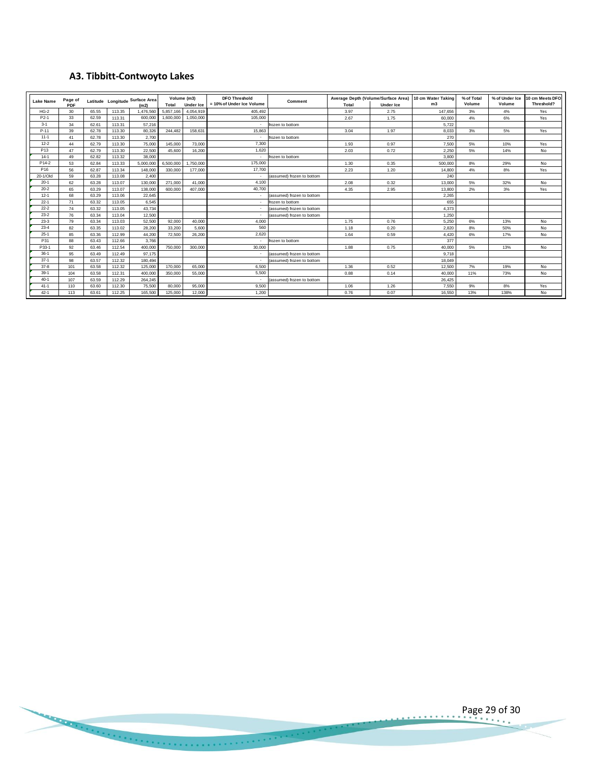# **A3. Tibbitt-Contwoyto Lakes**

|                 |                |                                         |        | A3. Tibbitt-Contwoyto Lakes |           |                                                                                      |                          |                           |                                                                  |      |                          |                      |                          |                               |
|-----------------|----------------|-----------------------------------------|--------|-----------------------------|-----------|--------------------------------------------------------------------------------------|--------------------------|---------------------------|------------------------------------------------------------------|------|--------------------------|----------------------|--------------------------|-------------------------------|
| Lake Name       | Page of<br>PDF | Latitude Longitude Surface Area<br>(m2) |        |                             | Total     | Volume (m3)<br><b>DFO Threshold</b><br>= 10% of Under Ice Volume<br><b>Under Ice</b> |                          | Comment                   | Average Depth (Volume/Surface Area)<br><b>Under Ice</b><br>Total |      | 10 cm Water Taking<br>m3 | % of Total<br>Volume | % of Under Ice<br>Volume | 10 cm Meets DFO<br>Threshold? |
| $HG-2$          | 30             | 65.55                                   | 113.35 | 1,476,560                   | 5,857,166 | 4,054,919                                                                            | 405,492                  |                           | 3.97                                                             | 2.75 | 147.656                  | 3%                   | 4%                       | Yes                           |
| P2-1            | 33             | 62.59                                   | 113.31 | 600,000                     | 1,600,000 | 1,050,000                                                                            | 105,000                  |                           | 2.67                                                             | 1.75 | 60,000                   | 4%                   | 6%                       | Yes                           |
| $3 - 1$         | 34             | 62.61                                   | 113.31 | 57,216                      |           |                                                                                      | $\overline{\phantom{a}}$ | frozen to bottom          |                                                                  |      | 5,722                    |                      |                          |                               |
| $P-11$          | 39             | 62.78                                   | 113.30 | 80,326                      | 244,482   | 158,631                                                                              | 15.863                   |                           | 3.04                                                             | 1.97 | 8,033                    | 3%                   | 5%                       | Yes                           |
| $11 - 1$        | 41             | 62.78                                   | 113.30 | 2,700                       |           |                                                                                      | $\sim$                   | frozen to bottom          |                                                                  |      | 270                      |                      |                          |                               |
| $12 - 2$        | 44             | 62.79                                   | 113.30 | 75,000                      | 145,000   | 73,000                                                                               | 7.300                    |                           | 1.93                                                             | 0.97 | 7,500                    | 5%                   | 10%                      | Yes                           |
| P <sub>13</sub> | 47             | 62.79                                   | 113.30 | 22,500                      | 45,600    | 16.200                                                                               | 1,620                    |                           | 2.03                                                             | 0.72 | 2.250                    | 5%                   | 14%                      | No                            |
| $14-1$          | 49             | 62.82                                   | 113.32 | 38,000                      |           |                                                                                      | $\overline{\phantom{a}}$ | frozen to bottom          |                                                                  |      | 3.800                    |                      |                          |                               |
| P14-2           | 53             | 62.84                                   | 113.33 | 5,000,000                   | 6,500,000 | 1,750,000                                                                            | 175,000                  |                           | 1.30                                                             | 0.35 | 500,000                  | 8%                   | 29%                      | No                            |
| P <sub>16</sub> | 56             | 62.87                                   | 113.34 | 148,000                     | 330,000   | 177,000                                                                              | 17,700                   |                           | 2.23                                                             | 1.20 | 14,800                   | 4%                   | 8%                       | Yes                           |
| 20-1/Old        | 59             | 63.28                                   | 113.08 | 2.400                       |           |                                                                                      | $\cdot$                  | assumed) frozen to bottom |                                                                  |      | 240                      |                      |                          |                               |
| $20-1$          | 62             | 63.28                                   | 113.07 | 130,000                     | 271.000   | 41.000                                                                               | 4,100                    |                           | 2.08                                                             | 0.32 | 13,000                   | 5%                   | 32%                      | No                            |
| $20 - 2$        | 65             | 63.29                                   | 113.07 | 138,000                     | 600,000   | 407.000                                                                              | 40.700                   |                           | 4.35                                                             | 2.95 | 13,800                   | 2%                   | 3%                       | Yes                           |
| $12 - 1$        | 68             | 63.29                                   | 113.06 | 22.645                      |           |                                                                                      | $\sim$                   | assumed) frozen to bottom |                                                                  |      | 2,265                    |                      |                          |                               |
| $22 - 1$        | 71             | 63.32                                   | 113.05 | 6,545                       |           |                                                                                      | $\sim$                   | frozen to bottom          |                                                                  |      | 655                      |                      |                          |                               |
| $22 - 2$        | 74             | 63.32                                   | 113.05 | 43,734                      |           |                                                                                      | $\sim$                   | assumed) frozen to bottom |                                                                  |      | 4,373                    |                      |                          |                               |
| $23-2$          | 76             | 63.34                                   | 113.04 | 12.500                      |           |                                                                                      | $\sim$                   | assumed) frozen to bottom |                                                                  |      | 1.250                    |                      |                          |                               |
| $23-3$          | 79             | 63.34                                   | 113.03 | 52.500                      | 92.000    | 40.000                                                                               | 4,000                    |                           | 1.75                                                             | 0.76 | 5.250                    | 6%                   | 13%                      | No                            |
| $23 - 4$        | 82             | 63.35                                   | 113.02 | 28.200                      | 33,200    | 5.600                                                                                | 560                      |                           | 1.18                                                             | 0.20 | 2.820                    | 8%                   | 50%                      | No                            |
| $25-1$          | 85             | 63.36                                   | 112.99 | 44.200                      | 72,500    | 26,200                                                                               | 2,620                    |                           | 1.64                                                             | 0.59 | 4,420                    | 6%                   | 17%                      | No                            |
| P31             | 88             | 63.43                                   | 112.66 | 3.766                       |           |                                                                                      | $\sim$                   | frozen to bottom          |                                                                  |      | 377                      |                      |                          |                               |
| P33-1           | 92             | 63.46                                   | 112.54 | 400,000                     | 750,000   | 300,000                                                                              | 30,000                   |                           | 1.88                                                             | 0.75 | 40,000                   | 5%                   | 13%                      | No                            |
| $36-1$          | 95             | 63.49                                   | 112.49 | 97.175                      |           |                                                                                      | $\sim$                   | assumed) frozen to bottom |                                                                  |      | 9.718                    |                      |                          |                               |
| $37-1$          | 98             | 63.57                                   | 112.32 | 180,494                     |           |                                                                                      | $\sim$                   | assumed) frozen to bottom |                                                                  |      | 18,049                   |                      |                          |                               |
| $37 - 8$        | 101            | 63.58                                   | 112.32 | 125,000                     | 170,000   | 65,000                                                                               | 6,500                    |                           | 1.36                                                             | 0.52 | 12,500                   | 7%                   | 19%                      | No                            |
| $39-1$          | 104            | 63.58                                   | 112.31 | 400.000                     | 350,000   | 55,000                                                                               | 5.500                    |                           | 0.88                                                             | 0.14 | 40,000                   | 11%                  | 73%                      | No                            |
| $40 - 1$        | 107            | 63.59                                   | 112.29 | 264.245                     |           |                                                                                      | $\sim$                   | assumed) frozen to bottom |                                                                  |      | 26.425                   |                      |                          |                               |
| $41 - 1$        | 110            | 63.60                                   | 112.30 | 75,500                      | 80,000    | 95.000                                                                               | 9,500                    |                           | 1.06                                                             | 1.26 | 7.550                    | 9%                   | 8%                       | Yes                           |
| $42 - 1$        | 113            | 63.61                                   | 112.25 | 165,500                     | 125,000   | 12,000                                                                               | 1,200                    |                           | 0.76                                                             | 0.07 | 16,550                   | 13%                  | 138%                     | No                            |

Page 29 of 30  $-0.0000$